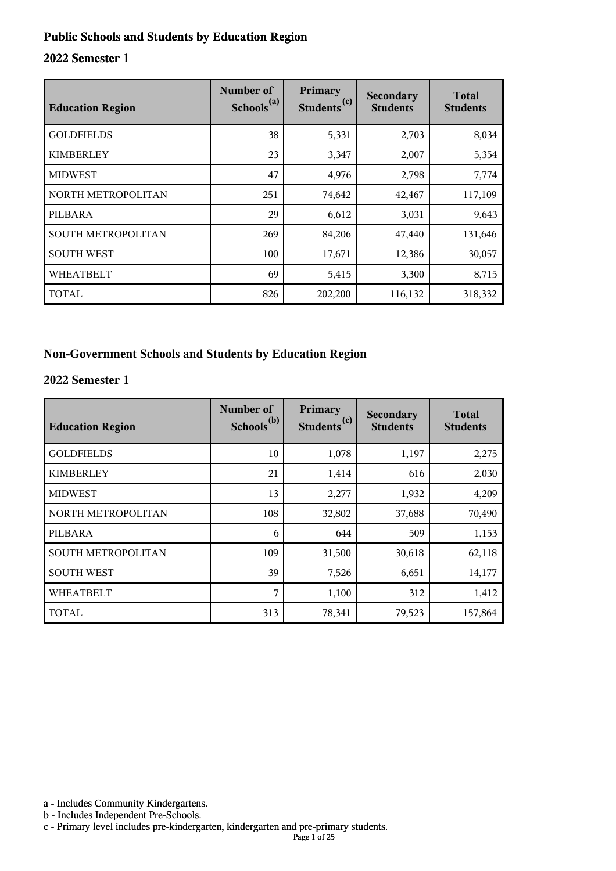#### **Public Schools and Students by Education Region**

#### **2022 Semester 1**

| <b>Education Region</b> | Number of<br>Schools <sup>(a)</sup> | Primary<br>(c)<br><b>Students</b> | Secondary<br><b>Students</b> | <b>Total</b><br><b>Students</b> |
|-------------------------|-------------------------------------|-----------------------------------|------------------------------|---------------------------------|
| <b>GOLDFIELDS</b>       | 38                                  | 5,331                             | 2,703                        | 8,034                           |
| <b>KIMBERLEY</b>        | 23                                  | 3,347                             | 2,007                        | 5,354                           |
| <b>MIDWEST</b>          | 47                                  | 4,976                             | 2,798                        | 7,774                           |
| NORTH METROPOLITAN      | 251                                 | 74,642                            | 42,467                       | 117,109                         |
| PILBARA                 | 29                                  | 6,612                             | 3,031                        | 9,643                           |
| SOUTH METROPOLITAN      | 269                                 | 84,206                            | 47,440                       | 131,646                         |
| <b>SOUTH WEST</b>       | 100                                 | 17,671                            | 12,386                       | 30,057                          |
| <b>WHEATBELT</b>        | 69                                  | 5,415                             | 3,300                        | 8,715                           |
| TOTAL                   | 826                                 | 202,200                           | 116,132                      | 318,332                         |

#### **Non-Government Schools and Students by Education Region**

#### **2022 Semester 1**

| <b>Education Region</b> | Number of<br>Schools <sup>(b)</sup> | Primary<br>Students <sup>(c)</sup> | Secondary<br><b>Students</b> | <b>Total</b><br><b>Students</b> |
|-------------------------|-------------------------------------|------------------------------------|------------------------------|---------------------------------|
| <b>GOLDFIELDS</b>       | 10                                  | 1,078                              | 1,197                        | 2,275                           |
| <b>KIMBERLEY</b>        | 21                                  | 1,414                              | 616                          | 2,030                           |
| <b>MIDWEST</b>          | 13                                  | 2,277                              | 1,932                        | 4,209                           |
| NORTH METROPOLITAN      | 108                                 | 32,802                             | 37,688                       | 70,490                          |
| PILBARA                 | 6                                   | 644                                | 509                          | 1,153                           |
| SOUTH METROPOLITAN      | 109                                 | 31,500                             | 30,618                       | 62,118                          |
| <b>SOUTH WEST</b>       | 39                                  | 7,526                              | 6,651                        | 14,177                          |
| <b>WHEATBELT</b>        | 7                                   | 1,100                              | 312                          | 1,412                           |
| <b>TOTAL</b>            | 313                                 | 78,341                             | 79,523                       | 157,864                         |

a - Includes Community Kindergartens.

b - Includes Independent Pre-Schools.

c - Primary level includes pre-kindergarten, kindergarten and pre-primary students.

Page 1 of 25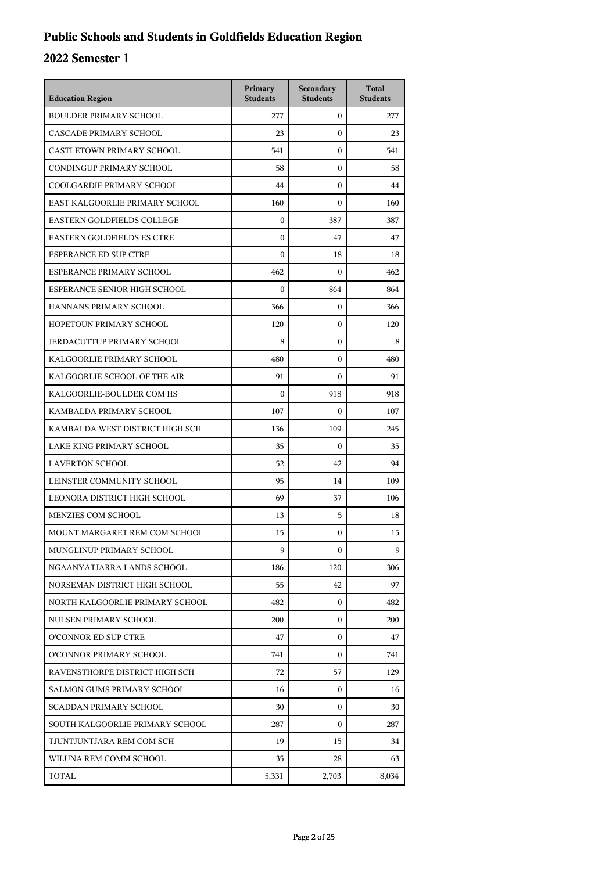## **Public Schools and Students in Goldfields Education Region**

| <b>Education Region</b>           | Primary<br><b>Students</b> | Secondary<br><b>Students</b> | <b>Total</b><br><b>Students</b> |
|-----------------------------------|----------------------------|------------------------------|---------------------------------|
| <b>BOULDER PRIMARY SCHOOL</b>     | 277                        | $\mathbf{0}$                 | 277                             |
| CASCADE PRIMARY SCHOOL            | 23                         | $\theta$                     | 23                              |
| <b>CASTLETOWN PRIMARY SCHOOL</b>  | 541                        | $\mathbf{0}$                 | 541                             |
| CONDINGUP PRIMARY SCHOOL          | 58                         | $\boldsymbol{0}$             | 58                              |
| COOLGARDIE PRIMARY SCHOOL         | 44                         | $\boldsymbol{0}$             | 44                              |
| EAST KALGOORLIE PRIMARY SCHOOL    | 160                        | $\boldsymbol{0}$             | 160                             |
| EASTERN GOLDFIELDS COLLEGE        | $\mathbf{0}$               | 387                          | 387                             |
| <b>EASTERN GOLDFIELDS ES CTRE</b> | $\mathbf{0}$               | 47                           | 47                              |
| <b>ESPERANCE ED SUP CTRE</b>      | $\mathbf{0}$               | 18                           | 18                              |
| ESPERANCE PRIMARY SCHOOL          | 462                        | $\Omega$                     | 462                             |
| ESPERANCE SENIOR HIGH SCHOOL      | $\mathbf{0}$               | 864                          | 864                             |
| HANNANS PRIMARY SCHOOL            | 366                        | $\mathbf{0}$                 | 366                             |
| HOPETOUN PRIMARY SCHOOL           | 120                        | $\mathbf{0}$                 | 120                             |
| JERDACUTTUP PRIMARY SCHOOL        | 8                          | $\boldsymbol{0}$             | 8                               |
| KALGOORLIE PRIMARY SCHOOL         | 480                        | $\boldsymbol{0}$             | 480                             |
| KALGOORLIE SCHOOL OF THE AIR      | 91                         | $\boldsymbol{0}$             | 91                              |
| KALGOORLIE-BOULDER COM HS         | $\theta$                   | 918                          | 918                             |
| KAMBALDA PRIMARY SCHOOL           | 107                        | $\boldsymbol{0}$             | 107                             |
| KAMBALDA WEST DISTRICT HIGH SCH   | 136                        | 109                          | 245                             |
| LAKE KING PRIMARY SCHOOL          | 35                         | $\mathbf{0}$                 | 35                              |
| <b>LAVERTON SCHOOL</b>            | 52                         | 42                           | 94                              |
| LEINSTER COMMUNITY SCHOOL         | 95                         | 14                           | 109                             |
| LEONORA DISTRICT HIGH SCHOOL      | 69                         | 37                           | 106                             |
| MENZIES COM SCHOOL                | 13                         | 5                            | 18                              |
| MOUNT MARGARET REM COM SCHOOL     | 15                         | $\boldsymbol{0}$             | 15                              |
| MUNGLINUP PRIMARY SCHOOL          | 9                          | $\mathbf{0}$                 | 9                               |
| NGAANYATJARRA LANDS SCHOOL        | 186                        | 120                          | 306                             |
| NORSEMAN DISTRICT HIGH SCHOOL     | 55                         | 42                           | 97                              |
| NORTH KALGOORLIE PRIMARY SCHOOL   | 482                        | $\boldsymbol{0}$             | 482                             |
| NULSEN PRIMARY SCHOOL             | 200                        | 0                            | 200                             |
| O'CONNOR ED SUP CTRE              | 47                         | 0                            | 47                              |
| O'CONNOR PRIMARY SCHOOL           | 741                        | $\Omega$                     | 741                             |
| RAVENSTHORPE DISTRICT HIGH SCH    | 72                         | 57                           | 129                             |
| SALMON GUMS PRIMARY SCHOOL        | 16                         | $\boldsymbol{0}$             | 16                              |
| SCADDAN PRIMARY SCHOOL            | 30                         | 0                            | 30                              |
| SOUTH KALGOORLIE PRIMARY SCHOOL   | 287                        | $\Omega$                     | 287                             |
| TJUNTJUNTJARA REM COM SCH         | 19                         | 15                           | 34                              |
| WILUNA REM COMM SCHOOL            | 35                         | 28                           | 63                              |
| TOTAL                             | 5,331                      | 2,703                        | 8,034                           |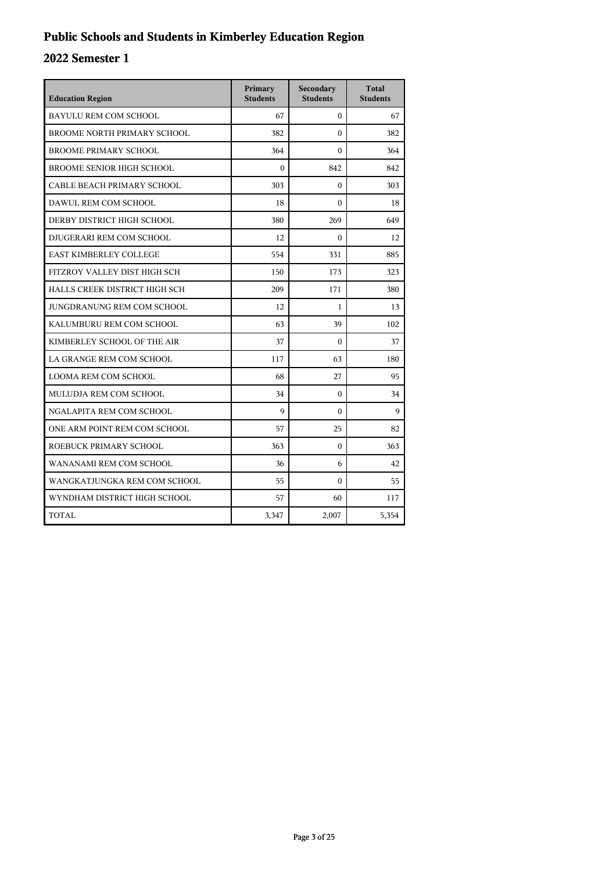## **Public Schools and Students in Kimberley Education Region**

| <b>Education Region</b>          | Primary<br><b>Students</b> | Secondary<br><b>Students</b> | <b>Total</b><br><b>Students</b> |
|----------------------------------|----------------------------|------------------------------|---------------------------------|
| <b>BAYULU REM COM SCHOOL</b>     | 67                         | $\mathbf{0}$                 | 67                              |
| BROOME NORTH PRIMARY SCHOOL      | 382                        | $\Omega$                     | 382                             |
| <b>BROOME PRIMARY SCHOOL</b>     | 364                        | $\boldsymbol{0}$             | 364                             |
| <b>BROOME SENIOR HIGH SCHOOL</b> | $\Omega$                   | 842                          | 842                             |
| CABLE BEACH PRIMARY SCHOOL       | 303                        | $\mathbf{0}$                 | 303                             |
| DAWUL REM COM SCHOOL             | 18                         | $\theta$                     | 18                              |
| DERBY DISTRICT HIGH SCHOOL       | 380                        | 269                          | 649                             |
| DJUGERARI REM COM SCHOOL         | 12                         | $\theta$                     | 12                              |
| <b>EAST KIMBERLEY COLLEGE</b>    | 554                        | 331                          | 885                             |
| FITZROY VALLEY DIST HIGH SCH     | 150                        | 173                          | 323                             |
| HALLS CREEK DISTRICT HIGH SCH    | 209                        | 171                          | 380                             |
| JUNGDRANUNG REM COM SCHOOL       | 12                         | 1                            | 13                              |
| KALUMBURU REM COM SCHOOL         | 63                         | 39                           | 102                             |
| KIMBERLEY SCHOOL OF THE AIR      | 37                         | $\theta$                     | 37                              |
| LA GRANGE REM COM SCHOOL         | 117                        | 63                           | 180                             |
| LOOMA REM COM SCHOOL             | 68                         | 27                           | 95                              |
| MULUDJA REM COM SCHOOL           | 34                         | $\Omega$                     | 34                              |
| NGALAPITA REM COM SCHOOL         | 9                          | $\mathbf{0}$                 | 9                               |
| ONE ARM POINT REM COM SCHOOL     | 57                         | 25                           | 82                              |
| ROEBUCK PRIMARY SCHOOL           | 363                        | $\Omega$                     | 363                             |
| WANANAMI REM COM SCHOOL          | 36                         | 6                            | 42                              |
| WANGKATJUNGKA REM COM SCHOOL     | 55                         | $\Omega$                     | 55                              |
| WYNDHAM DISTRICT HIGH SCHOOL     | 57                         | 60                           | 117                             |
| TOTAL                            | 3,347                      | 2,007                        | 5,354                           |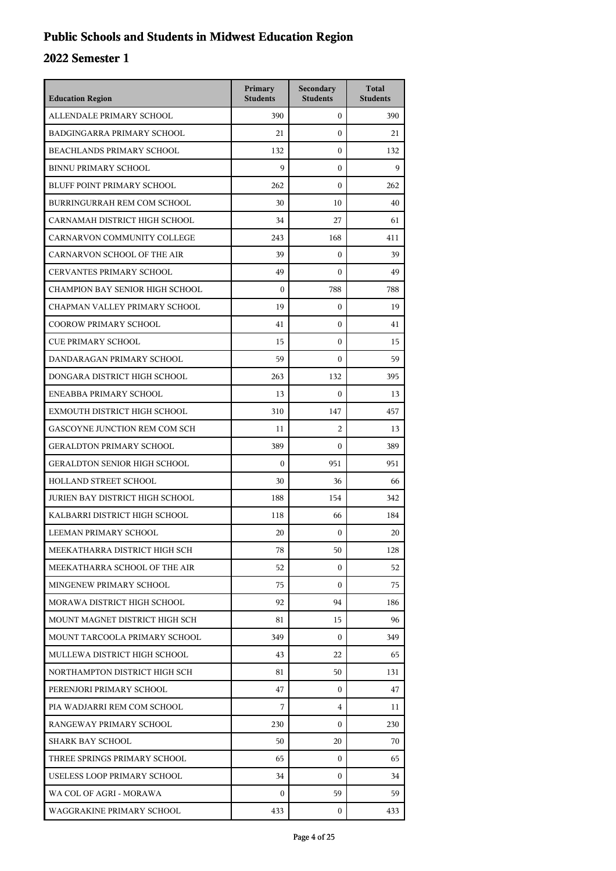## **Public Schools and Students in Midwest Education Region**

| <b>Education Region</b>             | Primary<br><b>Students</b> | Secondary<br><b>Students</b> | <b>Total</b><br><b>Students</b> |
|-------------------------------------|----------------------------|------------------------------|---------------------------------|
| ALLENDALE PRIMARY SCHOOL            | 390                        | $\mathbf{0}$                 | 390                             |
| <b>BADGINGARRA PRIMARY SCHOOL</b>   | 21                         | $\mathbf{0}$                 | 21                              |
| <b>BEACHLANDS PRIMARY SCHOOL</b>    | 132                        | $\mathbf{0}$                 | 132                             |
| <b>BINNU PRIMARY SCHOOL</b>         | 9                          | $\mathbf{0}$                 | 9                               |
| <b>BLUFF POINT PRIMARY SCHOOL</b>   | 262                        | $\mathbf{0}$                 | 262                             |
| BURRINGURRAH REM COM SCHOOL         | 30                         | 10                           | 40                              |
| CARNAMAH DISTRICT HIGH SCHOOL       | 34                         | 27                           | 61                              |
| CARNARVON COMMUNITY COLLEGE         | 243                        | 168                          | 411                             |
| CARNARVON SCHOOL OF THE AIR         | 39                         | $\mathbf{0}$                 | 39                              |
| CERVANTES PRIMARY SCHOOL            | 49                         | $\mathbf{0}$                 | 49                              |
| CHAMPION BAY SENIOR HIGH SCHOOL     | $\boldsymbol{0}$           | 788                          | 788                             |
| CHAPMAN VALLEY PRIMARY SCHOOL       | 19                         | $\mathbf{0}$                 | 19                              |
| <b>COOROW PRIMARY SCHOOL</b>        | 41                         | $\mathbf{0}$                 | 41                              |
| <b>CUE PRIMARY SCHOOL</b>           | 15                         | $\mathbf{0}$                 | 15                              |
| DANDARAGAN PRIMARY SCHOOL           | 59                         | $\mathbf{0}$                 | 59                              |
| DONGARA DISTRICT HIGH SCHOOL        | 263                        | 132                          | 395                             |
| ENEABBA PRIMARY SCHOOL              | 13                         | $\mathbf{0}$                 | 13                              |
| EXMOUTH DISTRICT HIGH SCHOOL        | 310                        | 147                          | 457                             |
| GASCOYNE JUNCTION REM COM SCH       | 11                         | $\overline{2}$               | 13                              |
| <b>GERALDTON PRIMARY SCHOOL</b>     | 389                        | $\mathbf{0}$                 | 389                             |
| <b>GERALDTON SENIOR HIGH SCHOOL</b> | $\boldsymbol{0}$           | 951                          | 951                             |
| HOLLAND STREET SCHOOL               | 30                         | 36                           | 66                              |
| JURIEN BAY DISTRICT HIGH SCHOOL     | 188                        | 154                          | 342                             |
| KALBARRI DISTRICT HIGH SCHOOL       | 118                        | 66                           | 184                             |
| LEEMAN PRIMARY SCHOOL               | 20                         | $\boldsymbol{0}$             | 20                              |
| MEEKATHARRA DISTRICT HIGH SCH       | 78                         | 50                           | 128                             |
| MEEKATHARRA SCHOOL OF THE AIR       | 52                         | $\mathbf{0}$                 | 52                              |
| MINGENEW PRIMARY SCHOOL             | 75                         | $\mathbf{0}$                 | 75                              |
| MORAWA DISTRICT HIGH SCHOOL         | 92                         | 94                           | 186                             |
| MOUNT MAGNET DISTRICT HIGH SCH      | 81                         | 15                           | 96                              |
| MOUNT TARCOOLA PRIMARY SCHOOL       | 349                        | $\mathbf{0}$                 | 349                             |
| MULLEWA DISTRICT HIGH SCHOOL        | 43                         | 22                           | 65                              |
| NORTHAMPTON DISTRICT HIGH SCH       | 81                         | 50                           | 131                             |
| PERENJORI PRIMARY SCHOOL            | 47                         | $\mathbf{0}$                 | 47                              |
| PIA WADJARRI REM COM SCHOOL         | 7                          | 4                            | 11                              |
| RANGEWAY PRIMARY SCHOOL             | 230                        | $\mathbf{0}$                 | 230                             |
| <b>SHARK BAY SCHOOL</b>             | 50                         | 20                           | 70                              |
| THREE SPRINGS PRIMARY SCHOOL        | 65                         | $\mathbf{0}$                 | 65                              |
| USELESS LOOP PRIMARY SCHOOL         | 34                         | $\overline{0}$               | 34                              |
| WA COL OF AGRI - MORAWA             | 0                          | 59                           | 59                              |
| WAGGRAKINE PRIMARY SCHOOL           | 433                        | $\overline{0}$               | 433                             |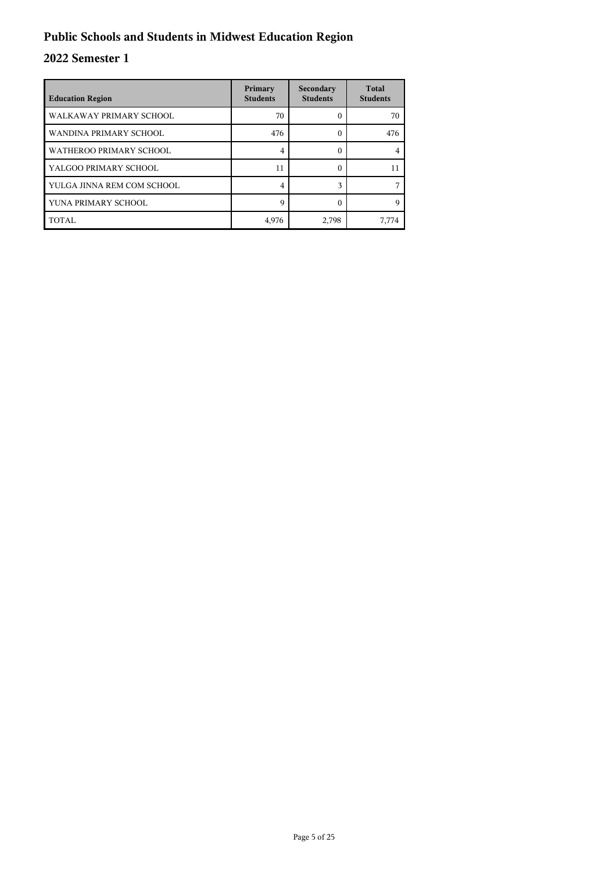## **Public Schools and Students in Midwest Education Region**

| <b>Education Region</b>    | Primary<br><b>Students</b> | Secondary<br><b>Students</b> | <b>Total</b><br><b>Students</b> |
|----------------------------|----------------------------|------------------------------|---------------------------------|
| WALKAWAY PRIMARY SCHOOL    | 70                         |                              | 70                              |
| WANDINA PRIMARY SCHOOL     | 476                        |                              | 476                             |
| WATHEROO PRIMARY SCHOOL    | 4                          | 0                            |                                 |
| YALGOO PRIMARY SCHOOL      | 11                         | 0                            | 11                              |
| YULGA JINNA REM COM SCHOOL | 4                          | $\mathbf{\overline{a}}$      |                                 |
| YUNA PRIMARY SCHOOL        | $\mathbf Q$                |                              | Q                               |
| TOTAL                      | 4,976                      | 2,798                        | 7,774                           |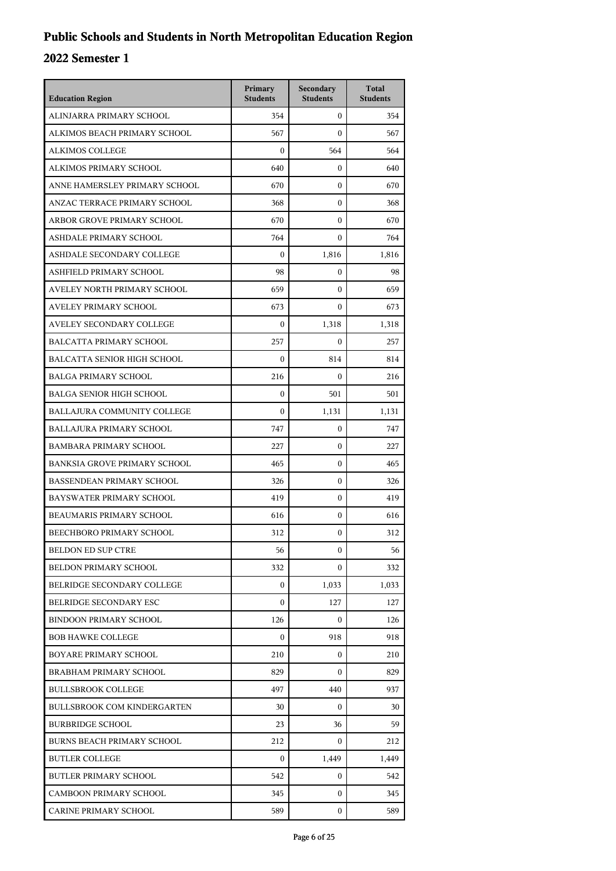| <b>Education Region</b>             | Primary<br><b>Students</b> | Secondary<br><b>Students</b> | <b>Total</b><br><b>Students</b> |
|-------------------------------------|----------------------------|------------------------------|---------------------------------|
| ALINJARRA PRIMARY SCHOOL            | 354                        | $\mathbf{0}$                 | 354                             |
| ALKIMOS BEACH PRIMARY SCHOOL        | 567                        | $\mathbf{0}$                 | 567                             |
| <b>ALKIMOS COLLEGE</b>              | $\boldsymbol{0}$           | 564                          | 564                             |
| ALKIMOS PRIMARY SCHOOL              | 640                        | $\mathbf{0}$                 | 640                             |
| ANNE HAMERSLEY PRIMARY SCHOOL       | 670                        | $\mathbf{0}$                 | 670                             |
| ANZAC TERRACE PRIMARY SCHOOL        | 368                        | $\mathbf{0}$                 | 368                             |
| ARBOR GROVE PRIMARY SCHOOL          | 670                        | $\mathbf{0}$                 | 670                             |
| ASHDALE PRIMARY SCHOOL              | 764                        | $\mathbf{0}$                 | 764                             |
| ASHDALE SECONDARY COLLEGE           | $\boldsymbol{0}$           | 1,816                        | 1,816                           |
| ASHFIELD PRIMARY SCHOOL             | 98                         | $\mathbf{0}$                 | 98                              |
| AVELEY NORTH PRIMARY SCHOOL         | 659                        | $\Omega$                     | 659                             |
| AVELEY PRIMARY SCHOOL               | 673                        | $\mathbf{0}$                 | 673                             |
| AVELEY SECONDARY COLLEGE            | $\mathbf{0}$               | 1,318                        | 1,318                           |
| <b>BALCATTA PRIMARY SCHOOL</b>      | 257                        | $\mathbf{0}$                 | 257                             |
| BALCATTA SENIOR HIGH SCHOOL         | $\boldsymbol{0}$           | 814                          | 814                             |
| <b>BALGA PRIMARY SCHOOL</b>         | 216                        | $\mathbf{0}$                 | 216                             |
| <b>BALGA SENIOR HIGH SCHOOL</b>     | $\boldsymbol{0}$           | 501                          | 501                             |
| BALLAJURA COMMUNITY COLLEGE         | $\mathbf{0}$               | 1,131                        | 1,131                           |
| <b>BALLAJURA PRIMARY SCHOOL</b>     | 747                        | $\mathbf{0}$                 | 747                             |
| <b>BAMBARA PRIMARY SCHOOL</b>       | 227                        | $\mathbf{0}$                 | 227                             |
| <b>BANKSIA GROVE PRIMARY SCHOOL</b> | 465                        | $\mathbf{0}$                 | 465                             |
| <b>BASSENDEAN PRIMARY SCHOOL</b>    | 326                        | $\mathbf{0}$                 | 326                             |
| BAYSWATER PRIMARY SCHOOL            | 419                        | $\mathbf{0}$                 | 419                             |
| BEAUMARIS PRIMARY SCHOOL            | 616                        | $\mathbf{0}$                 | 616                             |
| BEECHBORO PRIMARY SCHOOL            | 312                        | $\mathbf{0}$                 | 312                             |
| <b>BELDON ED SUP CTRE</b>           | 56                         | $\boldsymbol{0}$             | 56                              |
| <b>BELDON PRIMARY SCHOOL</b>        | 332                        | $\overline{0}$               | 332                             |
| BELRIDGE SECONDARY COLLEGE          | $\overline{0}$             | 1.033                        | 1,033                           |
| <b>BELRIDGE SECONDARY ESC</b>       | $\Omega$                   | 127                          | 127                             |
| BINDOON PRIMARY SCHOOL              | 126                        | $\mathbf{0}$                 | 126                             |
| <b>BOB HAWKE COLLEGE</b>            | 0                          | 918                          | 918                             |
| <b>BOYARE PRIMARY SCHOOL</b>        | 210                        | $\overline{0}$               | 210                             |
| BRABHAM PRIMARY SCHOOL              | 829                        | $\mathbf{0}$                 | 829                             |
| <b>BULLSBROOK COLLEGE</b>           | 497                        | 440                          | 937                             |
| <b>BULLSBROOK COM KINDERGARTEN</b>  | 30                         | $\mathbf{0}$                 | 30                              |
| <b>BURBRIDGE SCHOOL</b>             | 23                         | 36                           | 59                              |
| <b>BURNS BEACH PRIMARY SCHOOL</b>   | 212                        | $\mathbf{0}$                 | 212                             |
| <b>BUTLER COLLEGE</b>               | $\boldsymbol{0}$           | 1,449                        | 1,449                           |
| <b>BUTLER PRIMARY SCHOOL</b>        | 542                        | $\mathbf{0}$                 | 542                             |
| <b>CAMBOON PRIMARY SCHOOL</b>       | 345                        | $\mathbf{0}$                 | 345                             |
| <b>CARINE PRIMARY SCHOOL</b>        | 589                        | $\mathbf{0}$                 | 589                             |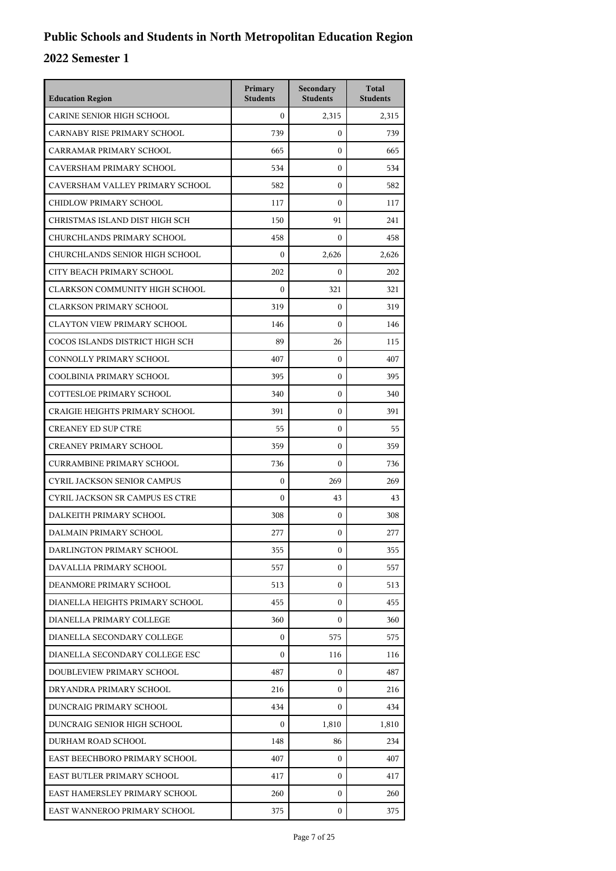| <b>Education Region</b>                | Primary<br><b>Students</b> | Secondary<br><b>Students</b> | <b>Total</b><br><b>Students</b> |
|----------------------------------------|----------------------------|------------------------------|---------------------------------|
| <b>CARINE SENIOR HIGH SCHOOL</b>       | $\theta$                   | 2,315                        | 2,315                           |
| CARNABY RISE PRIMARY SCHOOL            | 739                        | $\mathbf{0}$                 | 739                             |
| CARRAMAR PRIMARY SCHOOL                | 665                        | $\mathbf{0}$                 | 665                             |
| CAVERSHAM PRIMARY SCHOOL               | 534                        | $\mathbf{0}$                 | 534                             |
| CAVERSHAM VALLEY PRIMARY SCHOOL        | 582                        | $\mathbf{0}$                 | 582                             |
| CHIDLOW PRIMARY SCHOOL                 | 117                        | $\mathbf{0}$                 | 117                             |
| CHRISTMAS ISLAND DIST HIGH SCH         | 150                        | 91                           | 241                             |
| CHURCHLANDS PRIMARY SCHOOL             | 458                        | $\mathbf{0}$                 | 458                             |
| CHURCHLANDS SENIOR HIGH SCHOOL         | $\boldsymbol{0}$           | 2,626                        | 2,626                           |
| CITY BEACH PRIMARY SCHOOL              | 202                        | $\Omega$                     | 202                             |
| CLARKSON COMMUNITY HIGH SCHOOL         | $\boldsymbol{0}$           | 321                          | 321                             |
| <b>CLARKSON PRIMARY SCHOOL</b>         | 319                        | $\mathbf{0}$                 | 319                             |
| <b>CLAYTON VIEW PRIMARY SCHOOL</b>     | 146                        | $\mathbf{0}$                 | 146                             |
| COCOS ISLANDS DISTRICT HIGH SCH        | 89                         | 26                           | 115                             |
| CONNOLLY PRIMARY SCHOOL                | 407                        | $\mathbf{0}$                 | 407                             |
| COOLBINIA PRIMARY SCHOOL               | 395                        | $\mathbf{0}$                 | 395                             |
| COTTESLOE PRIMARY SCHOOL               | 340                        | $\mathbf{0}$                 | 340                             |
| <b>CRAIGIE HEIGHTS PRIMARY SCHOOL</b>  | 391                        | $\mathbf{0}$                 | 391                             |
| <b>CREANEY ED SUP CTRE</b>             | 55                         | $\mathbf{0}$                 | 55                              |
| <b>CREANEY PRIMARY SCHOOL</b>          | 359                        | $\mathbf{0}$                 | 359                             |
| <b>CURRAMBINE PRIMARY SCHOOL</b>       | 736                        | $\mathbf{0}$                 | 736                             |
| <b>CYRIL JACKSON SENIOR CAMPUS</b>     | $\mathbf{0}$               | 269                          | 269                             |
| <b>CYRIL JACKSON SR CAMPUS ES CTRE</b> | $\boldsymbol{0}$           | 43                           | 43                              |
| DALKEITH PRIMARY SCHOOL                | 308                        | $\mathbf{0}$                 | 308                             |
| DALMAIN PRIMARY SCHOOL                 | 277                        | $\mathbf{0}$                 | 277                             |
| DARLINGTON PRIMARY SCHOOL              | 355                        | 0                            | 355                             |
| DAVALLIA PRIMARY SCHOOL                | 557                        | $\mathbf{0}$                 | 557                             |
| DEANMORE PRIMARY SCHOOL                | 513                        | $\mathbf{0}$                 | 513                             |
| DIANELLA HEIGHTS PRIMARY SCHOOL        | 455                        | $\mathbf{0}$                 | 455                             |
| DIANELLA PRIMARY COLLEGE               | 360                        | $\mathbf{0}$                 | 360                             |
| DIANELLA SECONDARY COLLEGE             | $\Omega$                   | 575                          | 575                             |
| DIANELLA SECONDARY COLLEGE ESC         | $\Omega$                   | 116                          | 116                             |
| DOUBLEVIEW PRIMARY SCHOOL              | 487                        | $\mathbf{0}$                 | 487                             |
| DRYANDRA PRIMARY SCHOOL                | 216                        | 0                            | 216                             |
| DUNCRAIG PRIMARY SCHOOL                | 434                        | $\mathbf{0}$                 | 434                             |
| DUNCRAIG SENIOR HIGH SCHOOL            | $\Omega$                   | 1,810                        | 1,810                           |
| DURHAM ROAD SCHOOL                     | 148                        | 86                           | 234                             |
| EAST BEECHBORO PRIMARY SCHOOL          | 407                        | $\mathbf{0}$                 | 407                             |
| EAST BUTLER PRIMARY SCHOOL             | 417                        | 0                            | 417                             |
| EAST HAMERSLEY PRIMARY SCHOOL          | 260                        | $\mathbf{0}$                 | 260                             |
| EAST WANNEROO PRIMARY SCHOOL           | 375                        | $\mathbf{0}$                 | 375                             |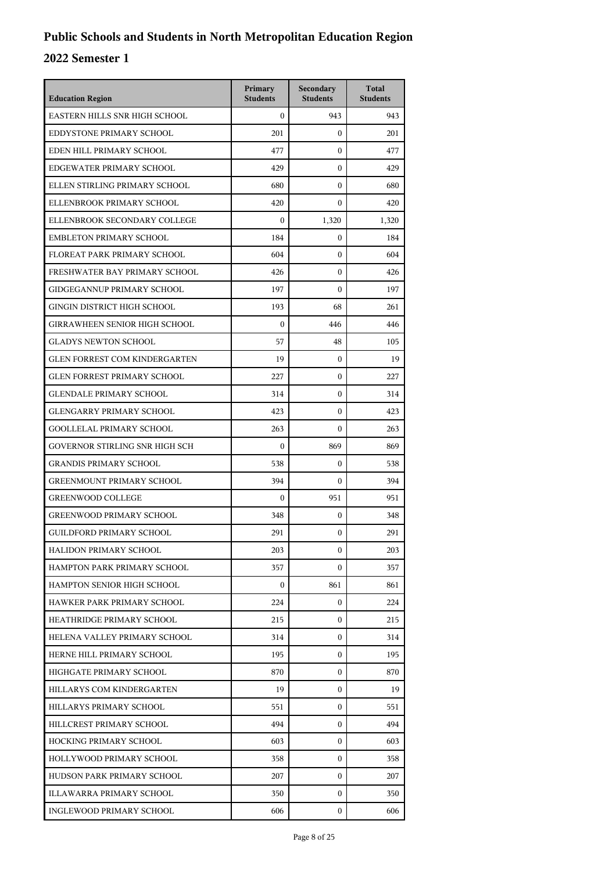| <b>Education Region</b>              | Primary<br><b>Students</b> | Secondary<br><b>Students</b> | <b>Total</b><br><b>Students</b> |
|--------------------------------------|----------------------------|------------------------------|---------------------------------|
| EASTERN HILLS SNR HIGH SCHOOL        | $\theta$                   | 943                          | 943                             |
| EDDYSTONE PRIMARY SCHOOL             | 201                        | $\mathbf{0}$                 | 201                             |
| EDEN HILL PRIMARY SCHOOL             | 477                        | $\mathbf{0}$                 | 477                             |
| EDGEWATER PRIMARY SCHOOL             | 429                        | $\mathbf{0}$                 | 429                             |
| ELLEN STIRLING PRIMARY SCHOOL        | 680                        | $\mathbf{0}$                 | 680                             |
| ELLENBROOK PRIMARY SCHOOL            | 420                        | $\mathbf{0}$                 | 420                             |
| ELLENBROOK SECONDARY COLLEGE         | $\boldsymbol{0}$           | 1,320                        | 1,320                           |
| <b>EMBLETON PRIMARY SCHOOL</b>       | 184                        | $\mathbf{0}$                 | 184                             |
| FLOREAT PARK PRIMARY SCHOOL          | 604                        | $\mathbf{0}$                 | 604                             |
| FRESHWATER BAY PRIMARY SCHOOL        | 426                        | $\mathbf{0}$                 | 426                             |
| <b>GIDGEGANNUP PRIMARY SCHOOL</b>    | 197                        | $\Omega$                     | 197                             |
| <b>GINGIN DISTRICT HIGH SCHOOL</b>   | 193                        | 68                           | 261                             |
| <b>GIRRAWHEEN SENIOR HIGH SCHOOL</b> | $\mathbf{0}$               | 446                          | 446                             |
| <b>GLADYS NEWTON SCHOOL</b>          | 57                         | 48                           | 105                             |
| <b>GLEN FORREST COM KINDERGARTEN</b> | 19                         | $\mathbf{0}$                 | 19                              |
| <b>GLEN FORREST PRIMARY SCHOOL</b>   | 227                        | $\mathbf{0}$                 | 227                             |
| <b>GLENDALE PRIMARY SCHOOL</b>       | 314                        | $\mathbf{0}$                 | 314                             |
| <b>GLENGARRY PRIMARY SCHOOL</b>      | 423                        | $\mathbf{0}$                 | 423                             |
| <b>GOOLLELAL PRIMARY SCHOOL</b>      | 263                        | $\mathbf{0}$                 | 263                             |
| GOVERNOR STIRLING SNR HIGH SCH       | $\boldsymbol{0}$           | 869                          | 869                             |
| <b>GRANDIS PRIMARY SCHOOL</b>        | 538                        | $\mathbf{0}$                 | 538                             |
| <b>GREENMOUNT PRIMARY SCHOOL</b>     | 394                        | $\mathbf{0}$                 | 394                             |
| <b>GREENWOOD COLLEGE</b>             | $\boldsymbol{0}$           | 951                          | 951                             |
| GREENWOOD PRIMARY SCHOOL             | 348                        | $\mathbf{0}$                 | 348                             |
| <b>GUILDFORD PRIMARY SCHOOL</b>      | 291                        | $\mathbf{0}$                 | 291                             |
| <b>HALIDON PRIMARY SCHOOL</b>        | 203                        | $\boldsymbol{0}$             | 203                             |
| HAMPTON PARK PRIMARY SCHOOL          | 357                        | $\mathbf{0}$                 | 357                             |
| HAMPTON SENIOR HIGH SCHOOL           | $\boldsymbol{0}$           | 861                          | 861                             |
| HAWKER PARK PRIMARY SCHOOL           | 224                        | $\mathbf{0}$                 | 224                             |
| HEATHRIDGE PRIMARY SCHOOL            | 215                        | 0                            | 215                             |
| HELENA VALLEY PRIMARY SCHOOL         | 314                        | $\mathbf{0}$                 | 314                             |
| HERNE HILL PRIMARY SCHOOL            | 195                        | $\mathbf{0}$                 | 195                             |
| HIGHGATE PRIMARY SCHOOL              | 870                        | $\mathbf{0}$                 | 870                             |
| HILLARYS COM KINDERGARTEN            | 19                         | $\mathbf{0}$                 | 19                              |
| HILLARYS PRIMARY SCHOOL              | 551                        | $\mathbf{0}$                 | 551                             |
| HILLCREST PRIMARY SCHOOL             | 494                        | $\mathbf{0}$                 | 494                             |
| HOCKING PRIMARY SCHOOL               | 603                        | $\mathbf{0}$                 | 603                             |
| HOLLYWOOD PRIMARY SCHOOL             | 358                        | $\mathbf{0}$                 | 358                             |
| HUDSON PARK PRIMARY SCHOOL           | 207                        | $\mathbf{0}$                 | 207                             |
| ILLAWARRA PRIMARY SCHOOL             | 350                        | $\mathbf{0}$                 | 350                             |
| INGLEWOOD PRIMARY SCHOOL             | 606                        | 0                            | 606                             |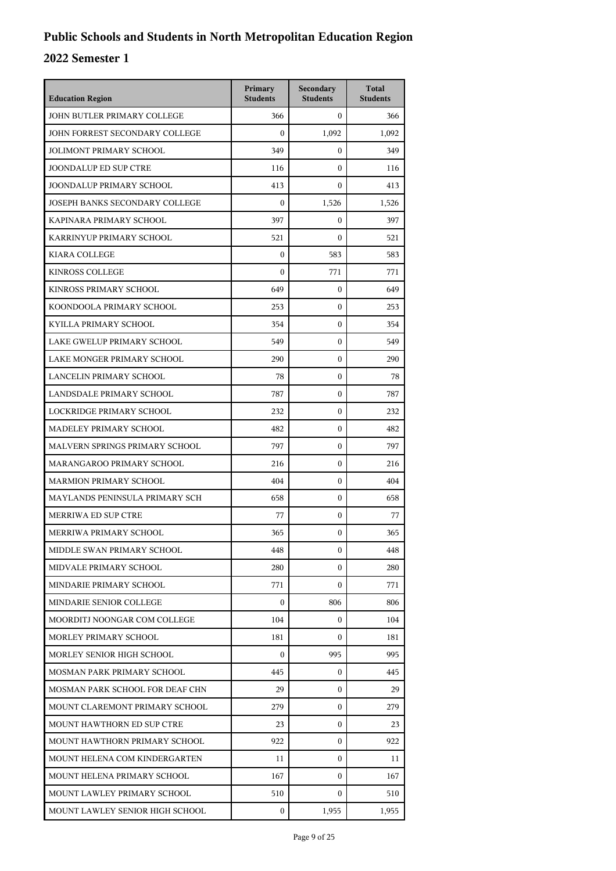| <b>Education Region</b>         | Primary<br><b>Students</b> | Secondary<br><b>Students</b> | <b>Total</b><br><b>Students</b> |
|---------------------------------|----------------------------|------------------------------|---------------------------------|
| JOHN BUTLER PRIMARY COLLEGE     | 366                        | $\mathbf{0}$                 | 366                             |
| JOHN FORREST SECONDARY COLLEGE  | $\boldsymbol{0}$           | 1,092                        | 1,092                           |
| <b>JOLIMONT PRIMARY SCHOOL</b>  | 349                        | $\mathbf{0}$                 | 349                             |
| <b>JOONDALUP ED SUP CTRE</b>    | 116                        | $\mathbf{0}$                 | 116                             |
| JOONDALUP PRIMARY SCHOOL        | 413                        | $\mathbf{0}$                 | 413                             |
| JOSEPH BANKS SECONDARY COLLEGE  | $\mathbf{0}$               | 1,526                        | 1,526                           |
| KAPINARA PRIMARY SCHOOL         | 397                        | $\mathbf{0}$                 | 397                             |
| KARRINYUP PRIMARY SCHOOL        | 521                        | $\mathbf{0}$                 | 521                             |
| <b>KIARA COLLEGE</b>            | $\mathbf{0}$               | 583                          | 583                             |
| <b>KINROSS COLLEGE</b>          | $\mathbf{0}$               | 771                          | 771                             |
| KINROSS PRIMARY SCHOOL          | 649                        | $\mathbf{0}$                 | 649                             |
| KOONDOOLA PRIMARY SCHOOL        | 253                        | $\mathbf{0}$                 | 253                             |
| KYILLA PRIMARY SCHOOL           | 354                        | $\mathbf{0}$                 | 354                             |
| LAKE GWELUP PRIMARY SCHOOL      | 549                        | $\mathbf{0}$                 | 549                             |
| LAKE MONGER PRIMARY SCHOOL      | 290                        | $\mathbf{0}$                 | 290                             |
| LANCELIN PRIMARY SCHOOL         | 78                         | $\mathbf{0}$                 | 78                              |
| LANDSDALE PRIMARY SCHOOL        | 787                        | $\mathbf{0}$                 | 787                             |
| LOCKRIDGE PRIMARY SCHOOL        | 232                        | $\mathbf{0}$                 | 232                             |
| MADELEY PRIMARY SCHOOL          | 482                        | $\mathbf{0}$                 | 482                             |
| MALVERN SPRINGS PRIMARY SCHOOL  | 797                        | $\mathbf{0}$                 | 797                             |
| MARANGAROO PRIMARY SCHOOL       | 216                        | $\mathbf{0}$                 | 216                             |
| <b>MARMION PRIMARY SCHOOL</b>   | 404                        | $\mathbf{0}$                 | 404                             |
| MAYLANDS PENINSULA PRIMARY SCH  | 658                        | $\mathbf{0}$                 | 658                             |
| MERRIWA ED SUP CTRE             | 77                         | $\mathbf{0}$                 | 77                              |
| MERRIWA PRIMARY SCHOOL          | 365                        | $\mathbf{0}$                 | 365                             |
| MIDDLE SWAN PRIMARY SCHOOL      | 448                        | 0                            | 448                             |
| MIDVALE PRIMARY SCHOOL          | 280                        | $\Omega$                     | 280                             |
| MINDARIE PRIMARY SCHOOL         | 771                        | $\mathbf{0}$                 | 771                             |
| MINDARIE SENIOR COLLEGE         | $\mathbf{0}$               | 806                          | 806                             |
| MOORDITJ NOONGAR COM COLLEGE    | 104                        | $\mathbf{0}$                 | 104                             |
| MORLEY PRIMARY SCHOOL           | 181                        | $\Omega$                     | 181                             |
| MORLEY SENIOR HIGH SCHOOL       | $\Omega$                   | 995                          | 995                             |
| MOSMAN PARK PRIMARY SCHOOL      | 445                        | $\mathbf{0}$                 | 445                             |
| MOSMAN PARK SCHOOL FOR DEAF CHN | 29                         | $\mathbf{0}$                 | 29                              |
| MOUNT CLAREMONT PRIMARY SCHOOL  | 279                        | 0                            | 279                             |
| MOUNT HAWTHORN ED SUP CTRE      | 23                         | $\mathbf{0}$                 | 23                              |
| MOUNT HAWTHORN PRIMARY SCHOOL   | 922                        | $\mathbf{0}$                 | 922                             |
| MOUNT HELENA COM KINDERGARTEN   | 11                         | $\mathbf{0}$                 | 11                              |
| MOUNT HELENA PRIMARY SCHOOL     | 167                        | $\mathbf{0}$                 | 167                             |
| MOUNT LAWLEY PRIMARY SCHOOL     | 510                        | 0                            | 510                             |
| MOUNT LAWLEY SENIOR HIGH SCHOOL | $\mathbf{0}$               | 1,955                        | 1,955                           |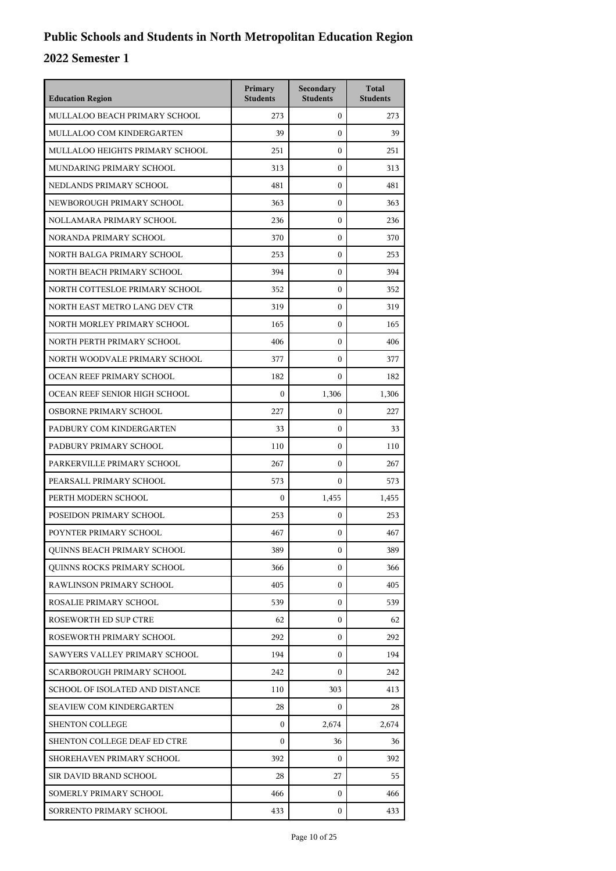| <b>Education Region</b>            | Primary<br><b>Students</b> | Secondary<br><b>Students</b> | <b>Total</b><br><b>Students</b> |
|------------------------------------|----------------------------|------------------------------|---------------------------------|
| MULLALOO BEACH PRIMARY SCHOOL      | 273                        | $\mathbf{0}$                 | 273                             |
| MULLALOO COM KINDERGARTEN          | 39                         | $\mathbf{0}$                 | 39                              |
| MULLALOO HEIGHTS PRIMARY SCHOOL    | 251                        | $\mathbf{0}$                 | 251                             |
| MUNDARING PRIMARY SCHOOL           | 313                        | $\mathbf{0}$                 | 313                             |
| NEDLANDS PRIMARY SCHOOL            | 481                        | $\mathbf{0}$                 | 481                             |
| NEWBOROUGH PRIMARY SCHOOL          | 363                        | $\mathbf{0}$                 | 363                             |
| NOLLAMARA PRIMARY SCHOOL           | 236                        | $\mathbf{0}$                 | 236                             |
| NORANDA PRIMARY SCHOOL             | 370                        | $\mathbf{0}$                 | 370                             |
| NORTH BALGA PRIMARY SCHOOL         | 253                        | $\mathbf{0}$                 | 253                             |
| NORTH BEACH PRIMARY SCHOOL         | 394                        | 0                            | 394                             |
| NORTH COTTESLOE PRIMARY SCHOOL     | 352                        | $\mathbf{0}$                 | 352                             |
| NORTH EAST METRO LANG DEV CTR      | 319                        | $\mathbf{0}$                 | 319                             |
| NORTH MORLEY PRIMARY SCHOOL        | 165                        | $\mathbf{0}$                 | 165                             |
| NORTH PERTH PRIMARY SCHOOL         | 406                        | $\mathbf{0}$                 | 406                             |
| NORTH WOODVALE PRIMARY SCHOOL      | 377                        | $\mathbf{0}$                 | 377                             |
| OCEAN REEF PRIMARY SCHOOL          | 182                        | $\mathbf{0}$                 | 182                             |
| OCEAN REEF SENIOR HIGH SCHOOL      | $\boldsymbol{0}$           | 1,306                        | 1,306                           |
| OSBORNE PRIMARY SCHOOL             | 227                        | $\boldsymbol{0}$             | 227                             |
| PADBURY COM KINDERGARTEN           | 33                         | $\boldsymbol{0}$             | 33                              |
| PADBURY PRIMARY SCHOOL             | 110                        | 0                            | 110                             |
| PARKERVILLE PRIMARY SCHOOL         | 267                        | $\boldsymbol{0}$             | 267                             |
| PEARSALL PRIMARY SCHOOL            | 573                        | $\mathbf{0}$                 | 573                             |
| PERTH MODERN SCHOOL                | $\boldsymbol{0}$           | 1,455                        | 1,455                           |
| POSEIDON PRIMARY SCHOOL            | 253                        | $\boldsymbol{0}$             | 253                             |
| POYNTER PRIMARY SCHOOL             | 467                        | 0                            | 467                             |
| <b>OUINNS BEACH PRIMARY SCHOOL</b> | 389                        | 0                            | 389                             |
| QUINNS ROCKS PRIMARY SCHOOL        | 366                        | $\mathbf{0}$                 | 366                             |
| RAWLINSON PRIMARY SCHOOL           | 405                        | $\mathbf{0}$                 | 405                             |
| ROSALIE PRIMARY SCHOOL             | 539                        | $\mathbf{0}$                 | 539                             |
| ROSEWORTH ED SUP CTRE              | 62                         | 0                            | 62                              |
| ROSEWORTH PRIMARY SCHOOL           | 292                        | $\mathbf{0}$                 | 292                             |
| SAWYERS VALLEY PRIMARY SCHOOL      | 194                        | $\mathbf{0}$                 | 194                             |
| <b>SCARBOROUGH PRIMARY SCHOOL</b>  | 242                        | $\mathbf{0}$                 | 242                             |
| SCHOOL OF ISOLATED AND DISTANCE    | 110                        | 303                          | 413                             |
| <b>SEAVIEW COM KINDERGARTEN</b>    | 28                         | 0                            | 28                              |
| <b>SHENTON COLLEGE</b>             | 0                          | 2,674                        | 2,674                           |
| SHENTON COLLEGE DEAF ED CTRE       | $\mathbf{0}$               | 36                           | 36                              |
| SHOREHAVEN PRIMARY SCHOOL          | 392                        | 0                            | 392                             |
| SIR DAVID BRAND SCHOOL             | 28                         | 27                           | 55                              |
| SOMERLY PRIMARY SCHOOL             | 466                        | 0                            | 466                             |
| SORRENTO PRIMARY SCHOOL            | 433                        | $\mathbf{0}$                 | 433                             |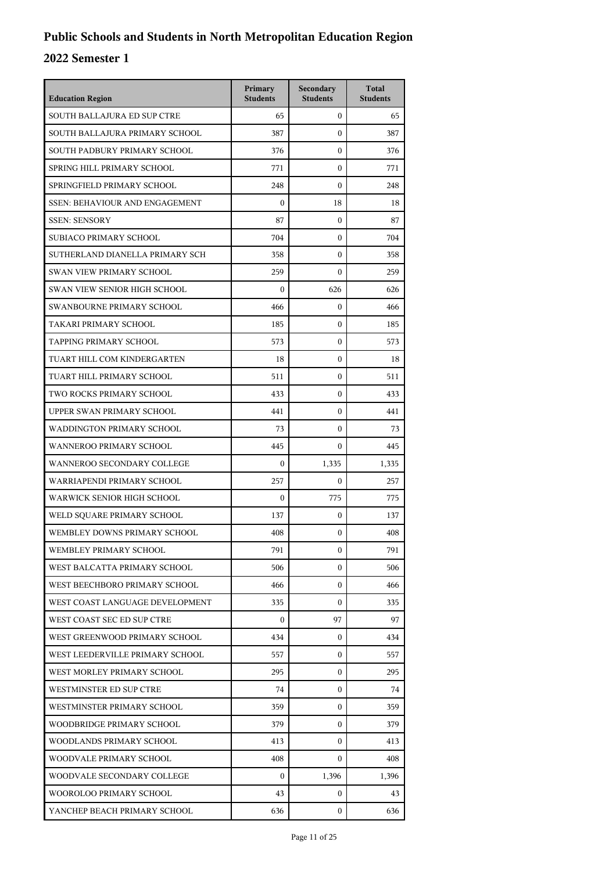| <b>Education Region</b>               | Primary<br><b>Students</b> | Secondary<br><b>Students</b> | <b>Total</b><br><b>Students</b> |
|---------------------------------------|----------------------------|------------------------------|---------------------------------|
| SOUTH BALLAJURA ED SUP CTRE           | 65                         | $\mathbf{0}$                 | 65                              |
| SOUTH BALLAJURA PRIMARY SCHOOL        | 387                        | $\mathbf{0}$                 | 387                             |
| SOUTH PADBURY PRIMARY SCHOOL          | 376                        | $\mathbf{0}$                 | 376                             |
| SPRING HILL PRIMARY SCHOOL            | 771                        | $\mathbf{0}$                 | 771                             |
| SPRINGFIELD PRIMARY SCHOOL            | 248                        | $\mathbf{0}$                 | 248                             |
| <b>SSEN: BEHAVIOUR AND ENGAGEMENT</b> | $\boldsymbol{0}$           | 18                           | 18                              |
| <b>SSEN: SENSORY</b>                  | 87                         | $\mathbf{0}$                 | 87                              |
| SUBIACO PRIMARY SCHOOL                | 704                        | $\mathbf{0}$                 | 704                             |
| SUTHERLAND DIANELLA PRIMARY SCH       | 358                        | $\mathbf{0}$                 | 358                             |
| <b>SWAN VIEW PRIMARY SCHOOL</b>       | 259                        | $\boldsymbol{0}$             | 259                             |
| <b>SWAN VIEW SENIOR HIGH SCHOOL</b>   | $\boldsymbol{0}$           | 626                          | 626                             |
| SWANBOURNE PRIMARY SCHOOL             | 466                        | $\mathbf{0}$                 | 466                             |
| TAKARI PRIMARY SCHOOL                 | 185                        | $\mathbf{0}$                 | 185                             |
| TAPPING PRIMARY SCHOOL                | 573                        | $\boldsymbol{0}$             | 573                             |
| TUART HILL COM KINDERGARTEN           | 18                         | $\boldsymbol{0}$             | 18                              |
| TUART HILL PRIMARY SCHOOL             | 511                        | $\mathbf{0}$                 | 511                             |
| TWO ROCKS PRIMARY SCHOOL              | 433                        | $\mathbf{0}$                 | 433                             |
| UPPER SWAN PRIMARY SCHOOL             | 441                        | $\mathbf{0}$                 | 441                             |
| WADDINGTON PRIMARY SCHOOL             | 73                         | $\boldsymbol{0}$             | 73                              |
| WANNEROO PRIMARY SCHOOL               | 445                        | $\Omega$                     | 445                             |
| WANNEROO SECONDARY COLLEGE            | $\boldsymbol{0}$           | 1,335                        | 1,335                           |
| WARRIAPENDI PRIMARY SCHOOL            | 257                        | $\mathbf{0}$                 | 257                             |
| WARWICK SENIOR HIGH SCHOOL            | $\boldsymbol{0}$           | 775                          | 775                             |
| WELD SQUARE PRIMARY SCHOOL            | 137                        | $\mathbf{0}$                 | 137                             |
| WEMBLEY DOWNS PRIMARY SCHOOL          | 408                        | $\mathbf{0}$                 | 408                             |
| WEMBLEY PRIMARY SCHOOL                | 791                        | 0                            | 791                             |
| WEST BALCATTA PRIMARY SCHOOL          | 506                        | $\mathbf{0}$                 | 506                             |
| WEST BEECHBORO PRIMARY SCHOOL         | 466                        | $\mathbf{0}$                 | 466                             |
| WEST COAST LANGUAGE DEVELOPMENT       | 335                        | $\mathbf{0}$                 | 335                             |
| WEST COAST SEC ED SUP CTRE            | 0                          | 97                           | 97                              |
| WEST GREENWOOD PRIMARY SCHOOL         | 434                        | $\mathbf{0}$                 | 434                             |
| WEST LEEDERVILLE PRIMARY SCHOOL       | 557                        | $\mathbf{0}$                 | 557                             |
| WEST MORLEY PRIMARY SCHOOL            | 295                        | $\mathbf{0}$                 | 295                             |
| WESTMINSTER ED SUP CTRE               | 74                         | $\mathbf{0}$                 | 74                              |
| WESTMINSTER PRIMARY SCHOOL            | 359                        | $\mathbf{0}$                 | 359                             |
| WOODBRIDGE PRIMARY SCHOOL             | 379                        | $\mathbf{0}$                 | 379                             |
| WOODLANDS PRIMARY SCHOOL              | 413                        | $\mathbf{0}$                 | 413                             |
| WOODVALE PRIMARY SCHOOL               | 408                        | $\mathbf{0}$                 | 408                             |
| WOODVALE SECONDARY COLLEGE            | $\boldsymbol{0}$           | 1,396                        | 1,396                           |
| WOOROLOO PRIMARY SCHOOL               | 43                         | $\mathbf{0}$                 | 43                              |
| YANCHEP BEACH PRIMARY SCHOOL          | 636                        | $\mathbf{0}$                 | 636                             |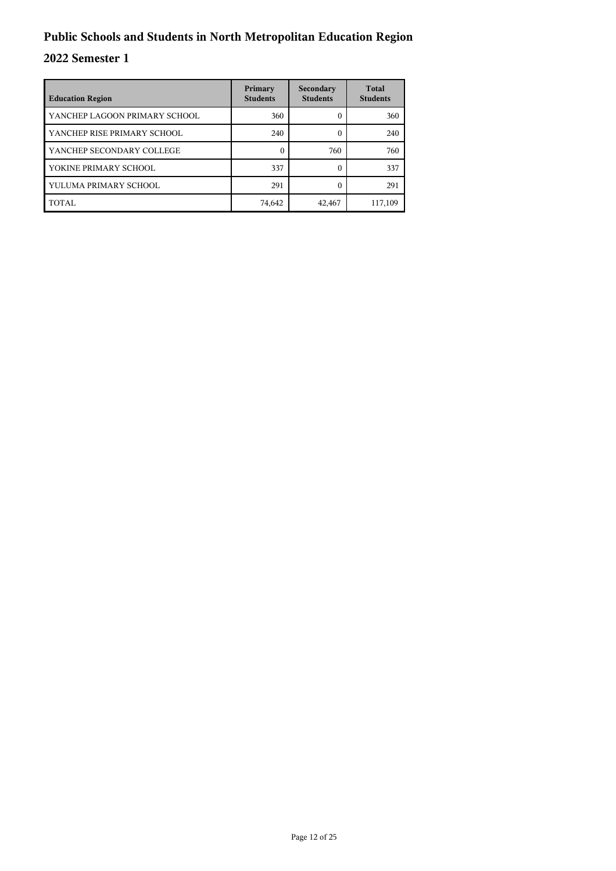| <b>Education Region</b>       | Primary<br><b>Students</b> | Secondary<br><b>Students</b> | <b>Total</b><br><b>Students</b> |
|-------------------------------|----------------------------|------------------------------|---------------------------------|
| YANCHEP LAGOON PRIMARY SCHOOL | 360                        | 0                            | 360                             |
| YANCHEP RISE PRIMARY SCHOOL   | 240                        |                              | 240                             |
| YANCHEP SECONDARY COLLEGE     | $\Omega$                   | 760                          | 760                             |
| YOKINE PRIMARY SCHOOL         | 337                        | 0                            | 337                             |
| YULUMA PRIMARY SCHOOL         | 291                        | $\Omega$                     | 291                             |
| TOTAL                         | 74,642                     | 42,467                       | 117,109                         |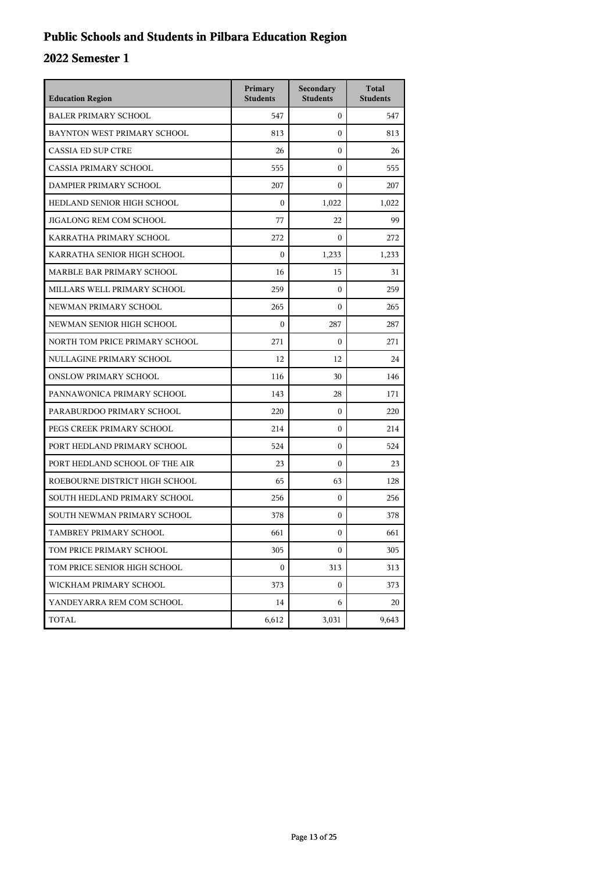## **Public Schools and Students in Pilbara Education Region**

| <b>Education Region</b>        | Primary<br><b>Students</b> | Secondary<br><b>Students</b> | <b>Total</b><br><b>Students</b> |
|--------------------------------|----------------------------|------------------------------|---------------------------------|
| <b>BALER PRIMARY SCHOOL</b>    | 547                        | 0                            | 547                             |
| BAYNTON WEST PRIMARY SCHOOL    | 813                        | $\overline{0}$               | 813                             |
| <b>CASSIA ED SUP CTRE</b>      | 26                         | 0                            | 26                              |
| CASSIA PRIMARY SCHOOL          | 555                        | $\overline{0}$               | 555                             |
| DAMPIER PRIMARY SCHOOL         | 207                        | $\theta$                     | 207                             |
| HEDLAND SENIOR HIGH SCHOOL     | $\mathbf{0}$               | 1,022                        | 1,022                           |
| JIGALONG REM COM SCHOOL        | 77                         | 22                           | 99                              |
| KARRATHA PRIMARY SCHOOL        | 272                        | $\boldsymbol{0}$             | 272                             |
| KARRATHA SENIOR HIGH SCHOOL    | $\mathbf{0}$               | 1,233                        | 1,233                           |
| MARBLE BAR PRIMARY SCHOOL      | 16                         | 15                           | 31                              |
| MILLARS WELL PRIMARY SCHOOL    | 259                        | $\boldsymbol{0}$             | 259                             |
| NEWMAN PRIMARY SCHOOL          | 265                        | 0                            | 265                             |
| NEWMAN SENIOR HIGH SCHOOL      | $\mathbf{0}$               | 287                          | 287                             |
| NORTH TOM PRICE PRIMARY SCHOOL | 271                        | $\overline{0}$               | 271                             |
| NULLAGINE PRIMARY SCHOOL       | 12                         | 12                           | 24                              |
| <b>ONSLOW PRIMARY SCHOOL</b>   | 116                        | 30                           | 146                             |
| PANNAWONICA PRIMARY SCHOOL     | 143                        | 28                           | 171                             |
| PARABURDOO PRIMARY SCHOOL      | 220                        | 0                            | 220                             |
| PEGS CREEK PRIMARY SCHOOL      | 214                        | $\overline{0}$               | 214                             |
| PORT HEDLAND PRIMARY SCHOOL    | 524                        | 0                            | 524                             |
| PORT HEDLAND SCHOOL OF THE AIR | 23                         | 0                            | 23                              |
| ROEBOURNE DISTRICT HIGH SCHOOL | 65                         | 63                           | 128                             |
| SOUTH HEDLAND PRIMARY SCHOOL   | 256                        | $\mathbf{0}$                 | 256                             |
| SOUTH NEWMAN PRIMARY SCHOOL    | 378                        | $\overline{0}$               | 378                             |
| TAMBREY PRIMARY SCHOOL         | 661                        | 0                            | 661                             |
| TOM PRICE PRIMARY SCHOOL       | 305                        | 0                            | 305                             |
| TOM PRICE SENIOR HIGH SCHOOL   | $\boldsymbol{0}$           | 313                          | 313                             |
| WICKHAM PRIMARY SCHOOL         | 373                        | 0                            | 373                             |
| YANDEYARRA REM COM SCHOOL      | 14                         | 6                            | 20                              |
| TOTAL                          | 6,612                      | 3,031                        | 9,643                           |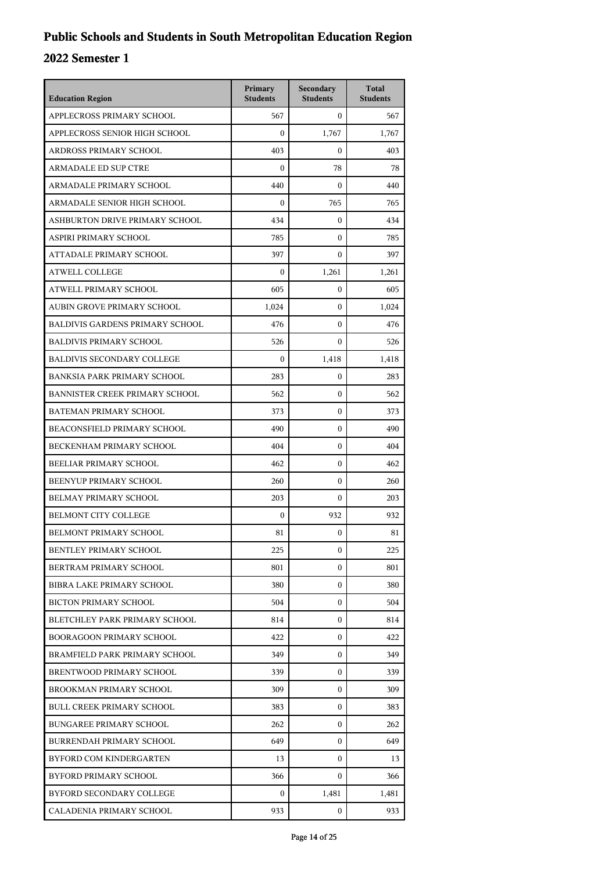| <b>Education Region</b>                | Primary<br><b>Students</b> | Secondary<br><b>Students</b> | <b>Total</b><br><b>Students</b> |
|----------------------------------------|----------------------------|------------------------------|---------------------------------|
| APPLECROSS PRIMARY SCHOOL              | 567                        | $\mathbf{0}$                 | 567                             |
| APPLECROSS SENIOR HIGH SCHOOL          | $\mathbf{0}$               | 1,767                        | 1,767                           |
| ARDROSS PRIMARY SCHOOL                 | 403                        | $\mathbf{0}$                 | 403                             |
| <b>ARMADALE ED SUP CTRE</b>            | $\boldsymbol{0}$           | 78                           | 78                              |
| ARMADALE PRIMARY SCHOOL                | 440                        | $\mathbf{0}$                 | 440                             |
| ARMADALE SENIOR HIGH SCHOOL            | $\boldsymbol{0}$           | 765                          | 765                             |
| ASHBURTON DRIVE PRIMARY SCHOOL         | 434                        | $\mathbf{0}$                 | 434                             |
| ASPIRI PRIMARY SCHOOL                  | 785                        | $\mathbf{0}$                 | 785                             |
| ATTADALE PRIMARY SCHOOL                | 397                        | $\mathbf{0}$                 | 397                             |
| <b>ATWELL COLLEGE</b>                  | $\Omega$                   | 1,261                        | 1,261                           |
| ATWELL PRIMARY SCHOOL                  | 605                        | $\mathbf{0}$                 | 605                             |
| AUBIN GROVE PRIMARY SCHOOL             | 1,024                      | $\mathbf{0}$                 | 1,024                           |
| <b>BALDIVIS GARDENS PRIMARY SCHOOL</b> | 476                        | $\mathbf{0}$                 | 476                             |
| <b>BALDIVIS PRIMARY SCHOOL</b>         | 526                        | $\mathbf{0}$                 | 526                             |
| <b>BALDIVIS SECONDARY COLLEGE</b>      | $\Omega$                   | 1,418                        | 1,418                           |
| <b>BANKSIA PARK PRIMARY SCHOOL</b>     | 283                        | $\mathbf{0}$                 | 283                             |
| BANNISTER CREEK PRIMARY SCHOOL         | 562                        | $\mathbf{0}$                 | 562                             |
| BATEMAN PRIMARY SCHOOL                 | 373                        | $\mathbf{0}$                 | 373                             |
| BEACONSFIELD PRIMARY SCHOOL            | 490                        | $\mathbf{0}$                 | 490                             |
| BECKENHAM PRIMARY SCHOOL               | 404                        | $\mathbf{0}$                 | 404                             |
| BEELIAR PRIMARY SCHOOL                 | 462                        | $\mathbf{0}$                 | 462                             |
| BEENYUP PRIMARY SCHOOL                 | 260                        | $\mathbf{0}$                 | 260                             |
| BELMAY PRIMARY SCHOOL                  | 203                        | $\mathbf{0}$                 | 203                             |
| <b>BELMONT CITY COLLEGE</b>            | $\boldsymbol{0}$           | 932                          | 932                             |
| BELMONT PRIMARY SCHOOL                 | 81                         | $\mathbf{0}$                 | 81                              |
| <b>BENTLEY PRIMARY SCHOOL</b>          | 225                        | $\boldsymbol{0}$             | 225                             |
| BERTRAM PRIMARY SCHOOL                 | 801                        | $\mathbf{0}$                 | 801                             |
| <b>BIBRA LAKE PRIMARY SCHOOL</b>       | 380                        | $\mathbf{0}$                 | 380                             |
| <b>BICTON PRIMARY SCHOOL</b>           | 504                        | 0                            | 504                             |
| BLETCHLEY PARK PRIMARY SCHOOL          | 814                        | 0                            | 814                             |
| BOORAGOON PRIMARY SCHOOL               | 422                        | $\mathbf{0}$                 | 422                             |
| BRAMFIELD PARK PRIMARY SCHOOL          | 349                        | $\mathbf{0}$                 | 349                             |
| BRENTWOOD PRIMARY SCHOOL               | 339                        | $\mathbf{0}$                 | 339                             |
| BROOKMAN PRIMARY SCHOOL                | 309                        | 0                            | 309                             |
| <b>BULL CREEK PRIMARY SCHOOL</b>       | 383                        | $\mathbf{0}$                 | 383                             |
| <b>BUNGAREE PRIMARY SCHOOL</b>         | 262                        | $\mathbf{0}$                 | 262                             |
| <b>BURRENDAH PRIMARY SCHOOL</b>        | 649                        | $\mathbf{0}$                 | 649                             |
| BYFORD COM KINDERGARTEN                | 13                         | $\mathbf{0}$                 | 13                              |
| BYFORD PRIMARY SCHOOL                  | 366                        | $\mathbf{0}$                 | 366                             |
| BYFORD SECONDARY COLLEGE               | 0                          | 1,481                        | 1,481                           |
| CALADENIA PRIMARY SCHOOL               | 933                        | $\bf{0}$                     | 933                             |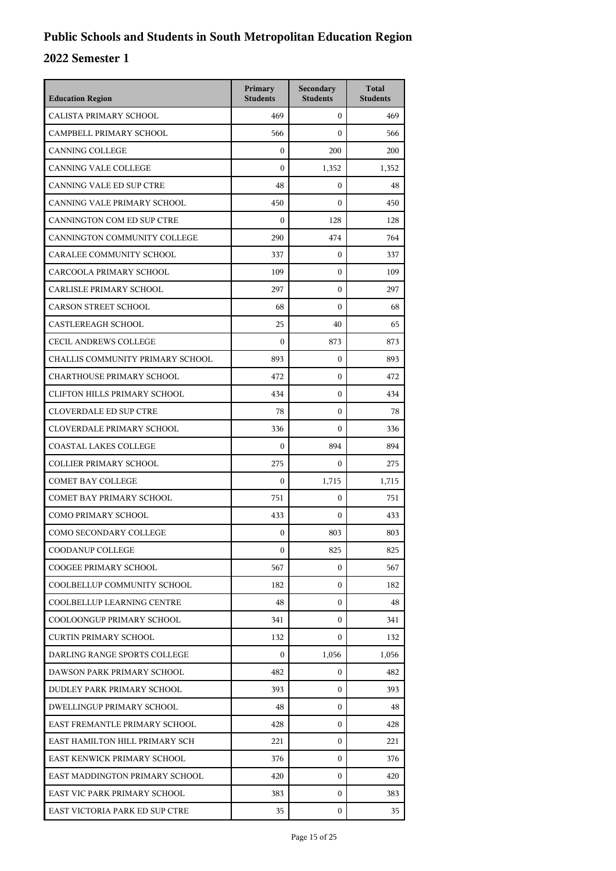| <b>Education Region</b>             | Primary<br><b>Students</b> | Secondary<br><b>Students</b> | <b>Total</b><br><b>Students</b> |
|-------------------------------------|----------------------------|------------------------------|---------------------------------|
| CALISTA PRIMARY SCHOOL              | 469                        | $\mathbf{0}$                 | 469                             |
| CAMPBELL PRIMARY SCHOOL             | 566                        | $\Omega$                     | 566                             |
| <b>CANNING COLLEGE</b>              | $\mathbf{0}$               | 200                          | 200                             |
| <b>CANNING VALE COLLEGE</b>         | $\boldsymbol{0}$           | 1,352                        | 1,352                           |
| CANNING VALE ED SUP CTRE            | 48                         | $\mathbf{0}$                 | 48                              |
| CANNING VALE PRIMARY SCHOOL         | 450                        | $\mathbf{0}$                 | 450                             |
| CANNINGTON COM ED SUP CTRE          | $\boldsymbol{0}$           | 128                          | 128                             |
| CANNINGTON COMMUNITY COLLEGE        | 290                        | 474                          | 764                             |
| CARALEE COMMUNITY SCHOOL            | 337                        | $\mathbf{0}$                 | 337                             |
| CARCOOLA PRIMARY SCHOOL             | 109                        | 0                            | 109                             |
| CARLISLE PRIMARY SCHOOL             | 297                        | $\mathbf{0}$                 | 297                             |
| <b>CARSON STREET SCHOOL</b>         | 68                         | $\Omega$                     | 68                              |
| <b>CASTLEREAGH SCHOOL</b>           | 25                         | 40                           | 65                              |
| <b>CECIL ANDREWS COLLEGE</b>        | $\boldsymbol{0}$           | 873                          | 873                             |
| CHALLIS COMMUNITY PRIMARY SCHOOL    | 893                        | $\mathbf{0}$                 | 893                             |
| <b>CHARTHOUSE PRIMARY SCHOOL</b>    | 472                        | $\mathbf{0}$                 | 472                             |
| <b>CLIFTON HILLS PRIMARY SCHOOL</b> | 434                        | $\mathbf{0}$                 | 434                             |
| <b>CLOVERDALE ED SUP CTRE</b>       | 78                         | $\mathbf{0}$                 | 78                              |
| <b>CLOVERDALE PRIMARY SCHOOL</b>    | 336                        | $\mathbf{0}$                 | 336                             |
| <b>COASTAL LAKES COLLEGE</b>        | $\boldsymbol{0}$           | 894                          | 894                             |
| <b>COLLIER PRIMARY SCHOOL</b>       | 275                        | $\mathbf{0}$                 | 275                             |
| <b>COMET BAY COLLEGE</b>            | $\boldsymbol{0}$           | 1,715                        | 1,715                           |
| <b>COMET BAY PRIMARY SCHOOL</b>     | 751                        | $\mathbf{0}$                 | 751                             |
| <b>COMO PRIMARY SCHOOL</b>          | 433                        | $\mathbf{0}$                 | 433                             |
| COMO SECONDARY COLLEGE              | $\mathbf{0}$               | 803                          | 803                             |
| COODANUP COLLEGE                    | 0                          | 825                          | 825                             |
| <b>COOGEE PRIMARY SCHOOL</b>        | 567                        | $\Omega$                     | 567                             |
| COOLBELLUP COMMUNITY SCHOOL         | 182                        | $\mathbf{0}$                 | 182                             |
| COOLBELLUP LEARNING CENTRE          | 48                         | $\mathbf{0}$                 | 48                              |
| COOLOONGUP PRIMARY SCHOOL           | 341                        | $\mathbf{0}$                 | 341                             |
| <b>CURTIN PRIMARY SCHOOL</b>        | 132                        | $\Omega$                     | 132                             |
| DARLING RANGE SPORTS COLLEGE        | $\mathbf{0}$               | 1,056                        | 1,056                           |
| DAWSON PARK PRIMARY SCHOOL          | 482                        | $\mathbf{0}$                 | 482                             |
| DUDLEY PARK PRIMARY SCHOOL          | 393                        | $\mathbf{0}$                 | 393                             |
| DWELLINGUP PRIMARY SCHOOL           | 48                         | 0                            | 48                              |
| EAST FREMANTLE PRIMARY SCHOOL       | 428                        | $\mathbf{0}$                 | 428                             |
| EAST HAMILTON HILL PRIMARY SCH      | 221                        | $\mathbf{0}$                 | 221                             |
| EAST KENWICK PRIMARY SCHOOL         | 376                        | $\mathbf{0}$                 | 376                             |
| EAST MADDINGTON PRIMARY SCHOOL      | 420                        | $\mathbf{0}$                 | 420                             |
| EAST VIC PARK PRIMARY SCHOOL        | 383                        | 0                            | 383                             |
| EAST VICTORIA PARK ED SUP CTRE      | 35                         | $\mathbf{0}$                 | 35                              |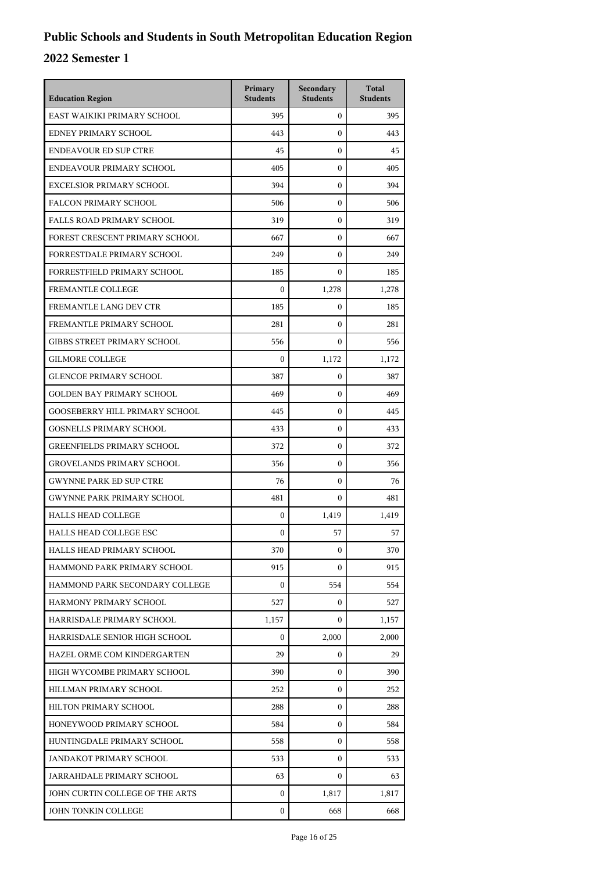| <b>Education Region</b>               | Primary<br><b>Students</b> | Secondary<br><b>Students</b> | <b>Total</b><br><b>Students</b> |
|---------------------------------------|----------------------------|------------------------------|---------------------------------|
| EAST WAIKIKI PRIMARY SCHOOL           | 395                        | $\mathbf{0}$                 | 395                             |
| EDNEY PRIMARY SCHOOL                  | 443                        | $\mathbf{0}$                 | 443                             |
| <b>ENDEAVOUR ED SUP CTRE</b>          | 45                         | $\mathbf{0}$                 | 45                              |
| ENDEAVOUR PRIMARY SCHOOL              | 405                        | $\mathbf{0}$                 | 405                             |
| <b>EXCELSIOR PRIMARY SCHOOL</b>       | 394                        | $\mathbf{0}$                 | 394                             |
| <b>FALCON PRIMARY SCHOOL</b>          | 506                        | $\mathbf{0}$                 | 506                             |
| <b>FALLS ROAD PRIMARY SCHOOL</b>      | 319                        | $\mathbf{0}$                 | 319                             |
| FOREST CRESCENT PRIMARY SCHOOL        | 667                        | $\mathbf{0}$                 | 667                             |
| FORRESTDALE PRIMARY SCHOOL            | 249                        | $\mathbf{0}$                 | 249                             |
| FORRESTFIELD PRIMARY SCHOOL           | 185                        | $\mathbf{0}$                 | 185                             |
| FREMANTLE COLLEGE                     | $\boldsymbol{0}$           | 1,278                        | 1,278                           |
| FREMANTLE LANG DEV CTR                | 185                        | $\mathbf{0}$                 | 185                             |
| FREMANTLE PRIMARY SCHOOL              | 281                        | $\mathbf{0}$                 | 281                             |
| GIBBS STREET PRIMARY SCHOOL           | 556                        | $\mathbf{0}$                 | 556                             |
| <b>GILMORE COLLEGE</b>                | $\boldsymbol{0}$           | 1,172                        | 1,172                           |
| <b>GLENCOE PRIMARY SCHOOL</b>         | 387                        | $\mathbf{0}$                 | 387                             |
| <b>GOLDEN BAY PRIMARY SCHOOL</b>      | 469                        | $\mathbf{0}$                 | 469                             |
| <b>GOOSEBERRY HILL PRIMARY SCHOOL</b> | 445                        | $\mathbf{0}$                 | 445                             |
| <b>GOSNELLS PRIMARY SCHOOL</b>        | 433                        | $\mathbf{0}$                 | 433                             |
| <b>GREENFIELDS PRIMARY SCHOOL</b>     | 372                        | $\mathbf{0}$                 | 372                             |
| <b>GROVELANDS PRIMARY SCHOOL</b>      | 356                        | $\mathbf{0}$                 | 356                             |
| <b>GWYNNE PARK ED SUP CTRE</b>        | 76                         | $\mathbf{0}$                 | 76                              |
| <b>GWYNNE PARK PRIMARY SCHOOL</b>     | 481                        | $\mathbf{0}$                 | 481                             |
| <b>HALLS HEAD COLLEGE</b>             | $\boldsymbol{0}$           | 1,419                        | 1,419                           |
| <b>HALLS HEAD COLLEGE ESC</b>         | $\boldsymbol{0}$           | 57                           | 57                              |
| HALLS HEAD PRIMARY SCHOOL             | 370                        | $\mathbf{0}$                 | 370                             |
| HAMMOND PARK PRIMARY SCHOOL           | 915                        | $\mathbf{0}$                 | 915                             |
| HAMMOND PARK SECONDARY COLLEGE        | $\boldsymbol{0}$           | 554                          | 554                             |
| HARMONY PRIMARY SCHOOL                | 527                        | $\mathbf{0}$                 | 527                             |
| HARRISDALE PRIMARY SCHOOL             | 1,157                      | 0                            | 1,157                           |
| HARRISDALE SENIOR HIGH SCHOOL         | $\mathbf{0}$               | 2.000                        | 2,000                           |
| HAZEL ORME COM KINDERGARTEN           | 29                         | $\mathbf{0}$                 | 29                              |
| HIGH WYCOMBE PRIMARY SCHOOL           | 390                        | $\mathbf{0}$                 | 390                             |
| HILLMAN PRIMARY SCHOOL                | 252                        | $\mathbf{0}$                 | 252                             |
| HILTON PRIMARY SCHOOL                 | 288                        | 0                            | 288                             |
| HONEYWOOD PRIMARY SCHOOL              | 584                        | $\mathbf{0}$                 | 584                             |
| HUNTINGDALE PRIMARY SCHOOL            | 558                        | $\mathbf{0}$                 | 558                             |
| JANDAKOT PRIMARY SCHOOL               | 533                        | $\mathbf{0}$                 | 533                             |
| JARRAHDALE PRIMARY SCHOOL             | 63                         | 0                            | 63                              |
| JOHN CURTIN COLLEGE OF THE ARTS       | $\mathbf{0}$               | 1,817                        | 1,817                           |
| JOHN TONKIN COLLEGE                   | $\mathbf{0}$               | 668                          | 668                             |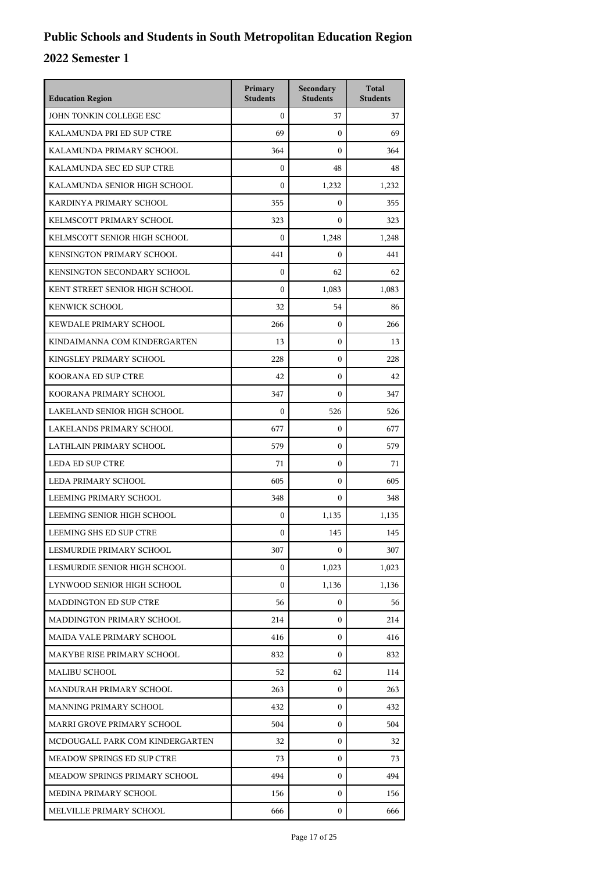| <b>Education Region</b>           | Primary<br><b>Students</b> | Secondary<br><b>Students</b> | <b>Total</b><br><b>Students</b> |
|-----------------------------------|----------------------------|------------------------------|---------------------------------|
| JOHN TONKIN COLLEGE ESC           | $\boldsymbol{0}$           | 37                           | 37                              |
| KALAMUNDA PRI ED SUP CTRE         | 69                         | $\mathbf{0}$                 | 69                              |
| KALAMUNDA PRIMARY SCHOOL          | 364                        | $\mathbf{0}$                 | 364                             |
| KALAMUNDA SEC ED SUP CTRE         | $\boldsymbol{0}$           | 48                           | 48                              |
| KALAMUNDA SENIOR HIGH SCHOOL      | $\theta$                   | 1,232                        | 1,232                           |
| KARDINYA PRIMARY SCHOOL           | 355                        | $\mathbf{0}$                 | 355                             |
| KELMSCOTT PRIMARY SCHOOL          | 323                        | $\mathbf{0}$                 | 323                             |
| KELMSCOTT SENIOR HIGH SCHOOL      | $\boldsymbol{0}$           | 1,248                        | 1,248                           |
| KENSINGTON PRIMARY SCHOOL         | 441                        | $\mathbf{0}$                 | 441                             |
| KENSINGTON SECONDARY SCHOOL       | $\boldsymbol{0}$           | 62                           | 62                              |
| KENT STREET SENIOR HIGH SCHOOL    | $\mathbf{0}$               | 1,083                        | 1,083                           |
| <b>KENWICK SCHOOL</b>             | 32                         | 54                           | 86                              |
| KEWDALE PRIMARY SCHOOL            | 266                        | $\mathbf{0}$                 | 266                             |
| KINDAIMANNA COM KINDERGARTEN      | 13                         | $\mathbf{0}$                 | 13                              |
| KINGSLEY PRIMARY SCHOOL           | 228                        | $\mathbf{0}$                 | 228                             |
| KOORANA ED SUP CTRE               | 42                         | $\mathbf{0}$                 | 42                              |
| KOORANA PRIMARY SCHOOL            | 347                        | $\mathbf{0}$                 | 347                             |
| LAKELAND SENIOR HIGH SCHOOL       | $\boldsymbol{0}$           | 526                          | 526                             |
| LAKELANDS PRIMARY SCHOOL          | 677                        | $\mathbf{0}$                 | 677                             |
| LATHLAIN PRIMARY SCHOOL           | 579                        | $\mathbf{0}$                 | 579                             |
| <b>LEDA ED SUP CTRE</b>           | 71                         | $\mathbf{0}$                 | 71                              |
| LEDA PRIMARY SCHOOL               | 605                        | $\mathbf{0}$                 | 605                             |
| LEEMING PRIMARY SCHOOL            | 348                        | $\mathbf{0}$                 | 348                             |
| LEEMING SENIOR HIGH SCHOOL        | $\boldsymbol{0}$           | 1,135                        | 1,135                           |
| LEEMING SHS ED SUP CTRE           | $\boldsymbol{0}$           | 145                          | 145                             |
| LESMURDIE PRIMARY SCHOOL          | 307                        | 0                            | 307                             |
| LESMURDIE SENIOR HIGH SCHOOL      | $\boldsymbol{0}$           | 1,023                        | 1,023                           |
| LYNWOOD SENIOR HIGH SCHOOL        | $\boldsymbol{0}$           | 1,136                        | 1,136                           |
| <b>MADDINGTON ED SUP CTRE</b>     | 56                         | 0                            | 56                              |
| MADDINGTON PRIMARY SCHOOL         | 214                        | $\mathbf{0}$                 | 214                             |
| MAIDA VALE PRIMARY SCHOOL         | 416                        | $\mathbf{0}$                 | 416                             |
| MAKYBE RISE PRIMARY SCHOOL        | 832                        | $\mathbf{0}$                 | 832                             |
| <b>MALIBU SCHOOL</b>              | 52                         | 62                           | 114                             |
| MANDURAH PRIMARY SCHOOL           | 263                        | $\mathbf{0}$                 | 263                             |
| MANNING PRIMARY SCHOOL            | 432                        | $\mathbf{0}$                 | 432                             |
| MARRI GROVE PRIMARY SCHOOL        | 504                        | $\mathbf{0}$                 | 504                             |
| MCDOUGALL PARK COM KINDERGARTEN   | 32                         | $\mathbf{0}$                 | 32                              |
| <b>MEADOW SPRINGS ED SUP CTRE</b> | 73                         | $\mathbf{0}$                 | 73                              |
| MEADOW SPRINGS PRIMARY SCHOOL     | 494                        | 0                            | 494                             |
| MEDINA PRIMARY SCHOOL             | 156                        | $\mathbf{0}$                 | 156                             |
| MELVILLE PRIMARY SCHOOL           | 666                        | $\mathbf{0}$                 | 666                             |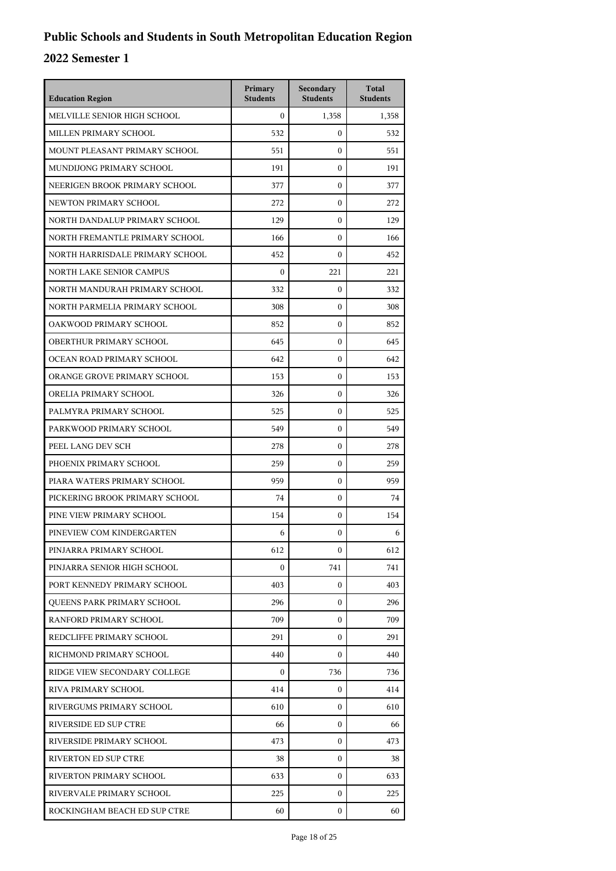| <b>Education Region</b>           | Primary<br><b>Students</b> | Secondary<br><b>Students</b> | <b>Total</b><br><b>Students</b> |
|-----------------------------------|----------------------------|------------------------------|---------------------------------|
| MELVILLE SENIOR HIGH SCHOOL       | $\theta$                   | 1,358                        | 1,358                           |
| MILLEN PRIMARY SCHOOL             | 532                        | $\mathbf{0}$                 | 532                             |
| MOUNT PLEASANT PRIMARY SCHOOL     | 551                        | $\mathbf{0}$                 | 551                             |
| MUNDIJONG PRIMARY SCHOOL          | 191                        | $\mathbf{0}$                 | 191                             |
| NEERIGEN BROOK PRIMARY SCHOOL     | 377                        | $\mathbf{0}$                 | 377                             |
| NEWTON PRIMARY SCHOOL             | 272                        | $\mathbf{0}$                 | 272                             |
| NORTH DANDALUP PRIMARY SCHOOL     | 129                        | $\mathbf{0}$                 | 129                             |
| NORTH FREMANTLE PRIMARY SCHOOL    | 166                        | $\mathbf{0}$                 | 166                             |
| NORTH HARRISDALE PRIMARY SCHOOL   | 452                        | $\mathbf{0}$                 | 452                             |
| <b>NORTH LAKE SENIOR CAMPUS</b>   | $\Omega$                   | 221                          | 221                             |
| NORTH MANDURAH PRIMARY SCHOOL     | 332                        | $\mathbf{0}$                 | 332                             |
| NORTH PARMELIA PRIMARY SCHOOL     | 308                        | $\mathbf{0}$                 | 308                             |
| OAKWOOD PRIMARY SCHOOL            | 852                        | $\mathbf{0}$                 | 852                             |
| OBERTHUR PRIMARY SCHOOL           | 645                        | $\mathbf{0}$                 | 645                             |
| OCEAN ROAD PRIMARY SCHOOL         | 642                        | $\mathbf{0}$                 | 642                             |
| ORANGE GROVE PRIMARY SCHOOL       | 153                        | $\mathbf{0}$                 | 153                             |
| ORELIA PRIMARY SCHOOL             | 326                        | $\mathbf{0}$                 | 326                             |
| PALMYRA PRIMARY SCHOOL            | 525                        | $\mathbf{0}$                 | 525                             |
| PARKWOOD PRIMARY SCHOOL           | 549                        | $\mathbf{0}$                 | 549                             |
| PEEL LANG DEV SCH                 | 278                        | $\mathbf{0}$                 | 278                             |
| PHOENIX PRIMARY SCHOOL            | 259                        | $\mathbf{0}$                 | 259                             |
| PIARA WATERS PRIMARY SCHOOL       | 959                        | $\mathbf{0}$                 | 959                             |
| PICKERING BROOK PRIMARY SCHOOL    | 74                         | $\mathbf{0}$                 | 74                              |
| PINE VIEW PRIMARY SCHOOL          | 154                        | $\mathbf{0}$                 | 154                             |
| PINEVIEW COM KINDERGARTEN         | 6                          | $\mathbf{0}$                 | 6                               |
| PINJARRA PRIMARY SCHOOL           | 612                        | $\boldsymbol{0}$             | 612                             |
| PINJARRA SENIOR HIGH SCHOOL       | $\Omega$                   | 741                          | 741                             |
| PORT KENNEDY PRIMARY SCHOOL       | 403                        | $\mathbf{0}$                 | 403                             |
| <b>OUEENS PARK PRIMARY SCHOOL</b> | 296                        | 0                            | 296                             |
| RANFORD PRIMARY SCHOOL            | 709                        | $\mathbf{0}$                 | 709                             |
| REDCLIFFE PRIMARY SCHOOL          | 291                        | $\mathbf{0}$                 | 291                             |
| RICHMOND PRIMARY SCHOOL           | 440                        | $\Omega$                     | 440                             |
| RIDGE VIEW SECONDARY COLLEGE      | 0                          | 736                          | 736                             |
| RIVA PRIMARY SCHOOL               | 414                        | 0                            | 414                             |
| RIVERGUMS PRIMARY SCHOOL          | 610                        | $\Omega$                     | 610                             |
| RIVERSIDE ED SUP CTRE             | 66                         | $\mathbf{0}$                 | 66                              |
| RIVERSIDE PRIMARY SCHOOL          | 473                        | $\mathbf{0}$                 | 473                             |
| RIVERTON ED SUP CTRE              | 38                         | $\mathbf{0}$                 | 38                              |
| RIVERTON PRIMARY SCHOOL           | 633                        | 0                            | 633                             |
| RIVERVALE PRIMARY SCHOOL          | 225                        | $\mathbf{0}$                 | 225                             |
| ROCKINGHAM BEACH ED SUP CTRE      | 60                         | $\mathbf{0}$                 | 60                              |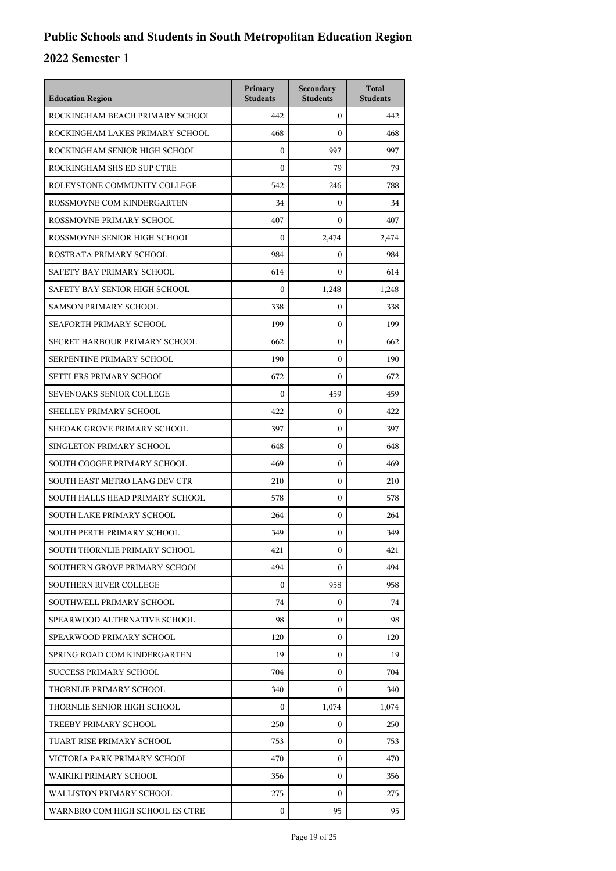| <b>Education Region</b>         | Primary<br><b>Students</b> | Secondary<br><b>Students</b> | <b>Total</b><br><b>Students</b> |
|---------------------------------|----------------------------|------------------------------|---------------------------------|
| ROCKINGHAM BEACH PRIMARY SCHOOL | 442                        | $\Omega$                     | 442                             |
| ROCKINGHAM LAKES PRIMARY SCHOOL | 468                        | $\mathbf{0}$                 | 468                             |
| ROCKINGHAM SENIOR HIGH SCHOOL   | $\boldsymbol{0}$           | 997                          | 997                             |
| ROCKINGHAM SHS ED SUP CTRE      | $\boldsymbol{0}$           | 79                           | 79                              |
| ROLEYSTONE COMMUNITY COLLEGE    | 542                        | 246                          | 788                             |
| ROSSMOYNE COM KINDERGARTEN      | 34                         | $\mathbf{0}$                 | 34                              |
| ROSSMOYNE PRIMARY SCHOOL        | 407                        | $\mathbf{0}$                 | 407                             |
| ROSSMOYNE SENIOR HIGH SCHOOL    | $\boldsymbol{0}$           | 2,474                        | 2,474                           |
| ROSTRATA PRIMARY SCHOOL         | 984                        | $\mathbf{0}$                 | 984                             |
| SAFETY BAY PRIMARY SCHOOL       | 614                        | $\Omega$                     | 614                             |
| SAFETY BAY SENIOR HIGH SCHOOL   | $\theta$                   | 1,248                        | 1,248                           |
| <b>SAMSON PRIMARY SCHOOL</b>    | 338                        | $\mathbf{0}$                 | 338                             |
| SEAFORTH PRIMARY SCHOOL         | 199                        | $\mathbf{0}$                 | 199                             |
| SECRET HARBOUR PRIMARY SCHOOL   | 662                        | $\mathbf{0}$                 | 662                             |
| SERPENTINE PRIMARY SCHOOL       | 190                        | $\mathbf{0}$                 | 190                             |
| SETTLERS PRIMARY SCHOOL         | 672                        | $\Omega$                     | 672                             |
| <b>SEVENOAKS SENIOR COLLEGE</b> | $\Omega$                   | 459                          | 459                             |
| SHELLEY PRIMARY SCHOOL          | 422                        | $\mathbf{0}$                 | 422                             |
| SHEOAK GROVE PRIMARY SCHOOL     | 397                        | $\mathbf{0}$                 | 397                             |
| SINGLETON PRIMARY SCHOOL        | 648                        | $\mathbf{0}$                 | 648                             |
| SOUTH COOGEE PRIMARY SCHOOL     | 469                        | $\mathbf{0}$                 | 469                             |
| SOUTH EAST METRO LANG DEV CTR   | 210                        | $\mathbf{0}$                 | 210                             |
| SOUTH HALLS HEAD PRIMARY SCHOOL | 578                        | $\mathbf{0}$                 | 578                             |
| SOUTH LAKE PRIMARY SCHOOL       | 264                        | $\mathbf{0}$                 | 264                             |
| SOUTH PERTH PRIMARY SCHOOL      | 349                        | $\mathbf{0}$                 | 349                             |
| SOUTH THORNLIE PRIMARY SCHOOL   | 421                        | 0                            | 421                             |
| SOUTHERN GROVE PRIMARY SCHOOL   | 494                        | $\mathbf{0}$                 | 494                             |
| <b>SOUTHERN RIVER COLLEGE</b>   | $\mathbf{0}$               | 958                          | 958                             |
| SOUTHWELL PRIMARY SCHOOL        | 74                         | $\mathbf{0}$                 | 74                              |
| SPEARWOOD ALTERNATIVE SCHOOL    | 98                         | 0                            | 98                              |
| SPEARWOOD PRIMARY SCHOOL        | 120                        | 0                            | 120                             |
| SPRING ROAD COM KINDERGARTEN    | 19                         | $\mathbf{0}$                 | 19                              |
| <b>SUCCESS PRIMARY SCHOOL</b>   | 704                        | $\mathbf{0}$                 | 704                             |
| THORNLIE PRIMARY SCHOOL         | 340                        | 0                            | 340                             |
| THORNLIE SENIOR HIGH SCHOOL     | 0                          | 1,074                        | 1,074                           |
| TREEBY PRIMARY SCHOOL           | 250                        | 0                            | 250                             |
| TUART RISE PRIMARY SCHOOL       | 753                        | $\mathbf{0}$                 | 753                             |
| VICTORIA PARK PRIMARY SCHOOL    | 470                        | $\mathbf{0}$                 | 470                             |
| WAIKIKI PRIMARY SCHOOL          | 356                        | $\mathbf{0}$                 | 356                             |
| WALLISTON PRIMARY SCHOOL        | 275                        | $\Omega$                     | 275                             |
| WARNBRO COM HIGH SCHOOL ES CTRE | 0                          | 95                           | 95                              |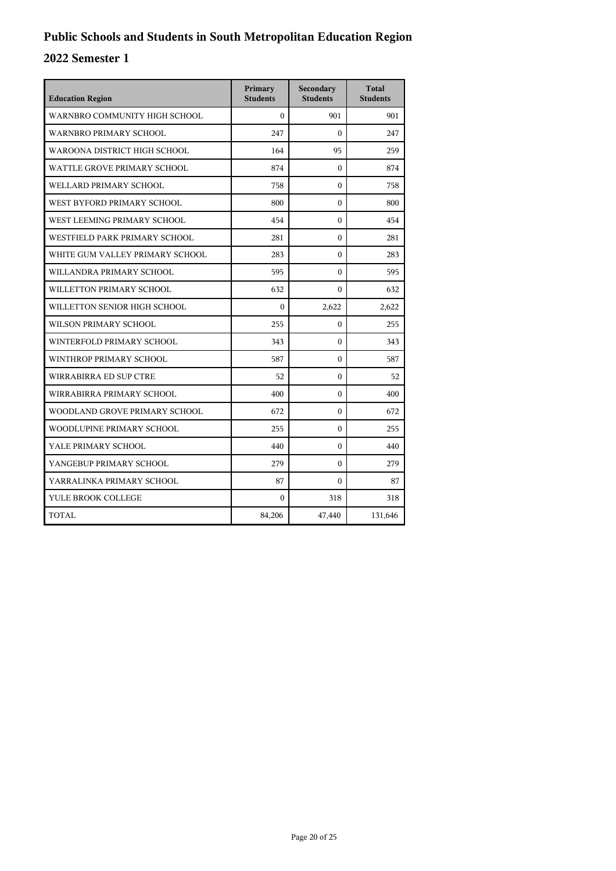| <b>Education Region</b>         | Primary<br><b>Students</b> | Secondary<br><b>Students</b> | <b>Total</b><br><b>Students</b> |
|---------------------------------|----------------------------|------------------------------|---------------------------------|
| WARNBRO COMMUNITY HIGH SCHOOL   | $\Omega$                   | 901                          | 901                             |
| WARNBRO PRIMARY SCHOOL          | 247                        | $\theta$                     | 247                             |
| WAROONA DISTRICT HIGH SCHOOL    | 164                        | 95                           | 259                             |
| WATTLE GROVE PRIMARY SCHOOL     | 874                        | $\mathbf{0}$                 | 874                             |
| WELLARD PRIMARY SCHOOL          | 758                        | $\theta$                     | 758                             |
| WEST BYFORD PRIMARY SCHOOL      | 800                        | $\mathbf{0}$                 | 800                             |
| WEST LEEMING PRIMARY SCHOOL     | 454                        | $\theta$                     | 454                             |
| WESTFIELD PARK PRIMARY SCHOOL   | 281                        | $\boldsymbol{0}$             | 281                             |
| WHITE GUM VALLEY PRIMARY SCHOOL | 283                        | $\mathbf{0}$                 | 283                             |
| WILLANDRA PRIMARY SCHOOL        | 595                        | $\theta$                     | 595                             |
| WILLETTON PRIMARY SCHOOL        | 632                        | $\theta$                     | 632                             |
| WILLETTON SENIOR HIGH SCHOOL    | $\Omega$                   | 2,622                        | 2,622                           |
| WILSON PRIMARY SCHOOL           | 255                        | $\mathbf{0}$                 | 255                             |
| WINTERFOLD PRIMARY SCHOOL       | 343                        | $\theta$                     | 343                             |
| WINTHROP PRIMARY SCHOOL         | 587                        | $\boldsymbol{0}$             | 587                             |
| WIRRABIRRA ED SUP CTRE          | 52                         | $\mathbf{0}$                 | 52                              |
| WIRRABIRRA PRIMARY SCHOOL       | 400                        | $\Omega$                     | 400                             |
| WOODLAND GROVE PRIMARY SCHOOL   | 672                        | $\mathbf{0}$                 | 672                             |
| WOODLUPINE PRIMARY SCHOOL       | 255                        | $\theta$                     | 255                             |
| YALE PRIMARY SCHOOL             | 440                        | $\mathbf{0}$                 | 440                             |
| YANGEBUP PRIMARY SCHOOL         | 279                        | $\mathbf{0}$                 | 279                             |
| YARRALINKA PRIMARY SCHOOL       | 87                         | $\theta$                     | 87                              |
| YULE BROOK COLLEGE              | $\mathbf{0}$               | 318                          | 318                             |
| TOTAL                           | 84,206                     | 47,440                       | 131,646                         |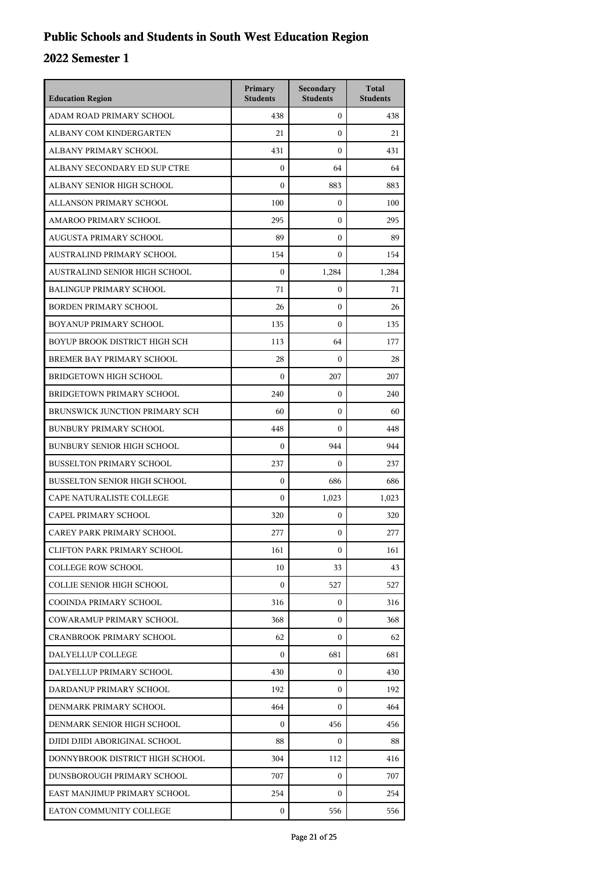| <b>Education Region</b>             | Primary<br><b>Students</b> | Secondary<br><b>Students</b> | <b>Total</b><br><b>Students</b> |
|-------------------------------------|----------------------------|------------------------------|---------------------------------|
| ADAM ROAD PRIMARY SCHOOL            | 438                        | $\mathbf{0}$                 | 438                             |
| ALBANY COM KINDERGARTEN             | 21                         | $\mathbf{0}$                 | 21                              |
| ALBANY PRIMARY SCHOOL               | 431                        | $\mathbf{0}$                 | 431                             |
| ALBANY SECONDARY ED SUP CTRE        | $\mathbf{0}$               | 64                           | 64                              |
| ALBANY SENIOR HIGH SCHOOL           | $\Omega$                   | 883                          | 883                             |
| ALLANSON PRIMARY SCHOOL             | 100                        | $\mathbf{0}$                 | 100                             |
| AMAROO PRIMARY SCHOOL               | 295                        | $\mathbf{0}$                 | 295                             |
| AUGUSTA PRIMARY SCHOOL              | 89                         | $\mathbf{0}$                 | 89                              |
| AUSTRALIND PRIMARY SCHOOL           | 154                        | $\mathbf{0}$                 | 154                             |
| AUSTRALIND SENIOR HIGH SCHOOL       | $\Omega$                   | 1,284                        | 1,284                           |
| <b>BALINGUP PRIMARY SCHOOL</b>      | 71                         | $\mathbf{0}$                 | 71                              |
| <b>BORDEN PRIMARY SCHOOL</b>        | 26                         | $\mathbf{0}$                 | 26                              |
| BOYANUP PRIMARY SCHOOL              | 135                        | $\mathbf{0}$                 | 135                             |
| BOYUP BROOK DISTRICT HIGH SCH       | 113                        | 64                           | 177                             |
| BREMER BAY PRIMARY SCHOOL           | 28                         | $\mathbf{0}$                 | 28                              |
| <b>BRIDGETOWN HIGH SCHOOL</b>       | $\theta$                   | 207                          | 207                             |
| BRIDGETOWN PRIMARY SCHOOL           | 240                        | $\mathbf{0}$                 | 240                             |
| BRUNSWICK JUNCTION PRIMARY SCH      | 60                         | $\mathbf{0}$                 | 60                              |
| <b>BUNBURY PRIMARY SCHOOL</b>       | 448                        | $\mathbf{0}$                 | 448                             |
| <b>BUNBURY SENIOR HIGH SCHOOL</b>   | $\boldsymbol{0}$           | 944                          | 944                             |
| <b>BUSSELTON PRIMARY SCHOOL</b>     | 237                        | $\Omega$                     | 237                             |
| <b>BUSSELTON SENIOR HIGH SCHOOL</b> | $\boldsymbol{0}$           | 686                          | 686                             |
| CAPE NATURALISTE COLLEGE            | $\mathbf{0}$               | 1,023                        | 1,023                           |
| CAPEL PRIMARY SCHOOL                | 320                        | $\mathbf{0}$                 | 320                             |
| CAREY PARK PRIMARY SCHOOL           | 277                        | $\boldsymbol{0}$             | 277                             |
| <b>CLIFTON PARK PRIMARY SCHOOL</b>  | 161                        | $\boldsymbol{0}$             | 161                             |
| <b>COLLEGE ROW SCHOOL</b>           | 10                         | 33                           | 43                              |
| <b>COLLIE SENIOR HIGH SCHOOL</b>    | $\boldsymbol{0}$           | 527                          | 527                             |
| COOINDA PRIMARY SCHOOL              | 316                        | $\mathbf{0}$                 | 316                             |
| COWARAMUP PRIMARY SCHOOL            | 368                        | 0                            | 368                             |
| <b>CRANBROOK PRIMARY SCHOOL</b>     | 62                         | $\mathbf{0}$                 | 62                              |
| DALYELLUP COLLEGE                   | $\mathbf{0}$               | 681                          | 681                             |
| DALYELLUP PRIMARY SCHOOL            | 430                        | $\mathbf{0}$                 | 430                             |
| DARDANUP PRIMARY SCHOOL             | 192                        | $\mathbf{0}$                 | 192                             |
| DENMARK PRIMARY SCHOOL              | 464                        | $\mathbf{0}$                 | 464                             |
| DENMARK SENIOR HIGH SCHOOL          | 0                          | 456                          | 456                             |
| DJIDI DJIDI ABORIGINAL SCHOOL       | 88                         | $\mathbf{0}$                 | 88                              |
| DONNYBROOK DISTRICT HIGH SCHOOL     | 304                        | 112                          | 416                             |
| DUNSBOROUGH PRIMARY SCHOOL          | 707                        | $\mathbf{0}$                 | 707                             |
| EAST MANJIMUP PRIMARY SCHOOL        | 254                        | 0                            | 254                             |
| EATON COMMUNITY COLLEGE             | 0                          | 556                          | 556                             |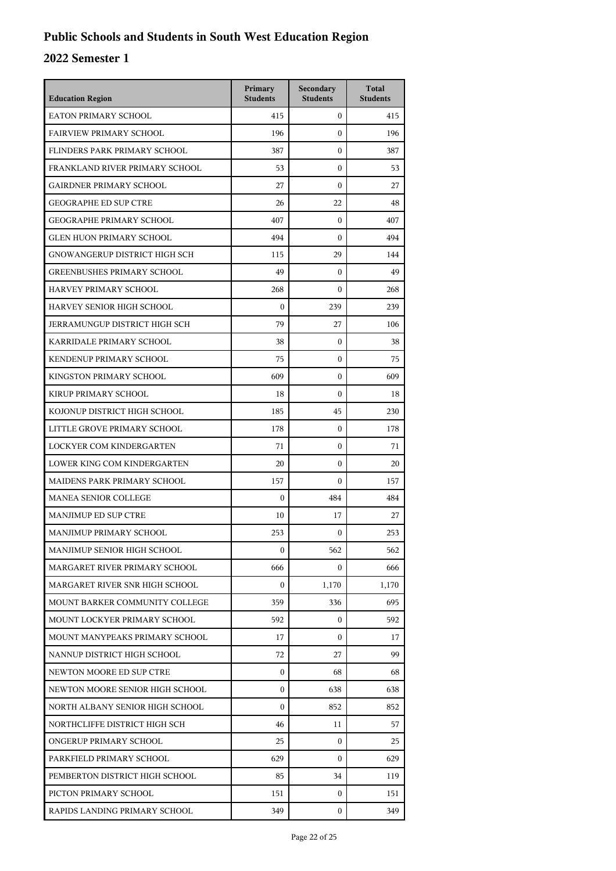| <b>Education Region</b>              | Primary<br><b>Students</b> | Secondary<br><b>Students</b> | <b>Total</b><br><b>Students</b> |
|--------------------------------------|----------------------------|------------------------------|---------------------------------|
| EATON PRIMARY SCHOOL                 | 415                        | $\mathbf{0}$                 | 415                             |
| <b>FAIRVIEW PRIMARY SCHOOL</b>       | 196                        | $\mathbf{0}$                 | 196                             |
| FLINDERS PARK PRIMARY SCHOOL         | 387                        | $\mathbf{0}$                 | 387                             |
| FRANKLAND RIVER PRIMARY SCHOOL       | 53                         | $\boldsymbol{0}$             | 53                              |
| <b>GAIRDNER PRIMARY SCHOOL</b>       | 27                         | $\boldsymbol{0}$             | 27                              |
| <b>GEOGRAPHE ED SUP CTRE</b>         | 26                         | 22                           | 48                              |
| <b>GEOGRAPHE PRIMARY SCHOOL</b>      | 407                        | $\mathbf{0}$                 | 407                             |
| <b>GLEN HUON PRIMARY SCHOOL</b>      | 494                        | $\mathbf{0}$                 | 494                             |
| GNOWANGERUP DISTRICT HIGH SCH        | 115                        | 29                           | 144                             |
| <b>GREENBUSHES PRIMARY SCHOOL</b>    | 49                         | $\boldsymbol{0}$             | 49                              |
| HARVEY PRIMARY SCHOOL                | 268                        | $\boldsymbol{0}$             | 268                             |
| HARVEY SENIOR HIGH SCHOOL            | $\mathbf{0}$               | 239                          | 239                             |
| <b>JERRAMUNGUP DISTRICT HIGH SCH</b> | 79                         | 27                           | 106                             |
| KARRIDALE PRIMARY SCHOOL             | 38                         | $\boldsymbol{0}$             | 38                              |
| KENDENUP PRIMARY SCHOOL              | 75                         | $\boldsymbol{0}$             | 75                              |
| KINGSTON PRIMARY SCHOOL              | 609                        | $\mathbf{0}$                 | 609                             |
| KIRUP PRIMARY SCHOOL                 | 18                         | $\mathbf{0}$                 | 18                              |
| KOJONUP DISTRICT HIGH SCHOOL         | 185                        | 45                           | 230                             |
| LITTLE GROVE PRIMARY SCHOOL          | 178                        | $\boldsymbol{0}$             | 178                             |
| LOCKYER COM KINDERGARTEN             | 71                         | $\boldsymbol{0}$             | 71                              |
| LOWER KING COM KINDERGARTEN          | 20                         | $\mathbf{0}$                 | 20                              |
| MAIDENS PARK PRIMARY SCHOOL          | 157                        | $\theta$                     | 157                             |
| <b>MANEA SENIOR COLLEGE</b>          | $\mathbf{0}$               | 484                          | 484                             |
| <b>MANJIMUP ED SUP CTRE</b>          | 10                         | 17                           | 27                              |
| MANJIMUP PRIMARY SCHOOL              | 253                        | $\mathbf{0}$                 | 253                             |
| MANJIMUP SENIOR HIGH SCHOOL          | $\mathbf{0}$               | 562                          | 562                             |
| MARGARET RIVER PRIMARY SCHOOL        | 666                        | 0                            | 666                             |
| MARGARET RIVER SNR HIGH SCHOOL       | $\boldsymbol{0}$           | 1,170                        | 1,170                           |
| MOUNT BARKER COMMUNITY COLLEGE       | 359                        | 336                          | 695                             |
| MOUNT LOCKYER PRIMARY SCHOOL         | 592                        | 0                            | 592                             |
| MOUNT MANYPEAKS PRIMARY SCHOOL       | 17                         | $\Omega$                     | 17                              |
| NANNUP DISTRICT HIGH SCHOOL          | 72                         | 27                           | 99                              |
| NEWTON MOORE ED SUP CTRE             | $\boldsymbol{0}$           | 68                           | 68                              |
| NEWTON MOORE SENIOR HIGH SCHOOL      | $\boldsymbol{0}$           | 638                          | 638                             |
| NORTH ALBANY SENIOR HIGH SCHOOL      | $\Omega$                   | 852                          | 852                             |
| NORTHCLIFFE DISTRICT HIGH SCH        | 46                         | 11                           | 57                              |
| ONGERUP PRIMARY SCHOOL               | 25                         | 0                            | 25                              |
| PARKFIELD PRIMARY SCHOOL             | 629                        | 0                            | 629                             |
| PEMBERTON DISTRICT HIGH SCHOOL       | 85                         | 34                           | 119                             |
| PICTON PRIMARY SCHOOL                | 151                        | 0                            | 151                             |
| RAPIDS LANDING PRIMARY SCHOOL        | 349                        | 0                            | 349                             |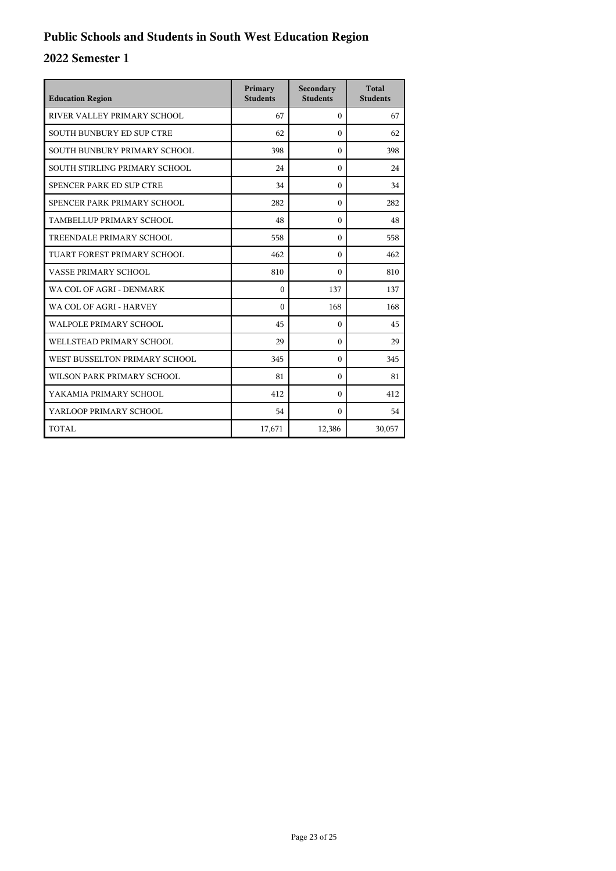| <b>Education Region</b>          | Primary<br><b>Students</b> | Secondary<br><b>Students</b> | <b>Total</b><br><b>Students</b> |
|----------------------------------|----------------------------|------------------------------|---------------------------------|
| RIVER VALLEY PRIMARY SCHOOL      | 67                         | $\Omega$                     | 67                              |
| <b>SOUTH BUNBURY ED SUP CTRE</b> | 62                         | $\Omega$                     | 62                              |
| SOUTH BUNBURY PRIMARY SCHOOL     | 398                        | $\theta$                     | 398                             |
| SOUTH STIRLING PRIMARY SCHOOL    | 24                         | $\theta$                     | 24                              |
| SPENCER PARK ED SUP CTRE         | 34                         | $\Omega$                     | 34                              |
| SPENCER PARK PRIMARY SCHOOL      | 282                        | $\Omega$                     | 282                             |
| TAMBELLUP PRIMARY SCHOOL         | 48                         | $\theta$                     | 48                              |
| TREENDALE PRIMARY SCHOOL         | 558                        | $\Omega$                     | 558                             |
| TUART FOREST PRIMARY SCHOOL      | 462                        | $\Omega$                     | 462                             |
| VASSE PRIMARY SCHOOL             | 810                        | 0                            | 810                             |
| WA COL OF AGRI - DENMARK         | $\theta$                   | 137                          | 137                             |
| WA COL OF AGRI - HARVEY          | $\theta$                   | 168                          | 168                             |
| WALPOLE PRIMARY SCHOOL           | 45                         | $\Omega$                     | 45                              |
| WELLSTEAD PRIMARY SCHOOL         | 29                         | $\Omega$                     | 29                              |
| WEST BUSSELTON PRIMARY SCHOOL    | 345                        | $\Omega$                     | 345                             |
| WILSON PARK PRIMARY SCHOOL       | 81                         | $\Omega$                     | 81                              |
| YAKAMIA PRIMARY SCHOOL           | 412                        | $\theta$                     | 412                             |
| YARLOOP PRIMARY SCHOOL           | 54                         | $\theta$                     | 54                              |
| <b>TOTAL</b>                     | 17,671                     | 12,386                       | 30,057                          |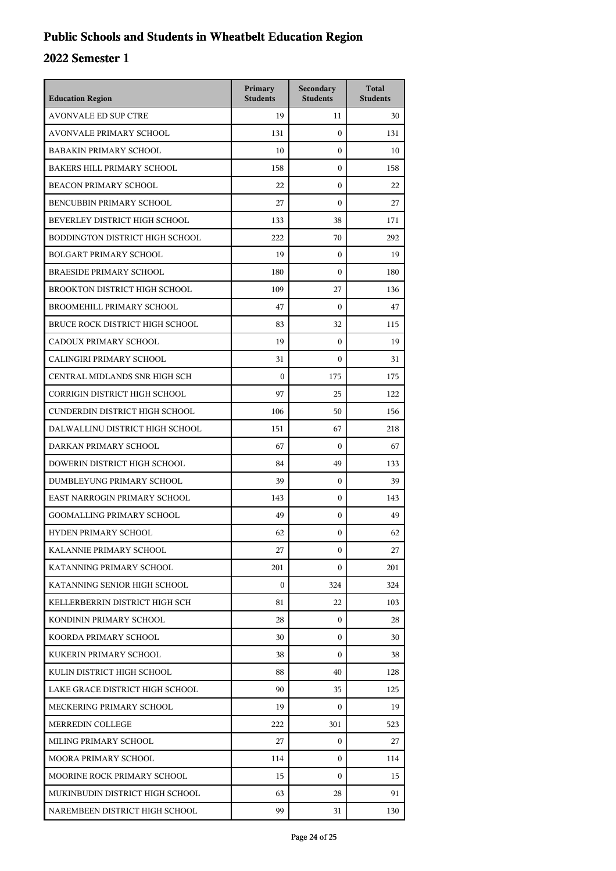## **Public Schools and Students in Wheatbelt Education Region**

| <b>Education Region</b>           | Primary<br><b>Students</b> | Secondary<br><b>Students</b> | <b>Total</b><br><b>Students</b> |
|-----------------------------------|----------------------------|------------------------------|---------------------------------|
| <b>AVONVALE ED SUP CTRE</b>       | 19                         | 11                           | 30                              |
| <b>AVONVALE PRIMARY SCHOOL</b>    | 131                        | $\mathbf{0}$                 | 131                             |
| <b>BABAKIN PRIMARY SCHOOL</b>     | 10                         | 0                            | 10                              |
| <b>BAKERS HILL PRIMARY SCHOOL</b> | 158                        | $\boldsymbol{0}$             | 158                             |
| <b>BEACON PRIMARY SCHOOL</b>      | 22                         | $\boldsymbol{0}$             | 22                              |
| BENCUBBIN PRIMARY SCHOOL          | 27                         | $\boldsymbol{0}$             | 27                              |
| BEVERLEY DISTRICT HIGH SCHOOL     | 133                        | 38                           | 171                             |
| BODDINGTON DISTRICT HIGH SCHOOL   | 222                        | 70                           | 292                             |
| <b>BOLGART PRIMARY SCHOOL</b>     | 19                         | $\boldsymbol{0}$             | 19                              |
| <b>BRAESIDE PRIMARY SCHOOL</b>    | 180                        | $\boldsymbol{0}$             | 180                             |
| BROOKTON DISTRICT HIGH SCHOOL     | 109                        | 27                           | 136                             |
| BROOMEHILL PRIMARY SCHOOL         | 47                         | $\mathbf{0}$                 | 47                              |
| BRUCE ROCK DISTRICT HIGH SCHOOL   | 83                         | 32                           | 115                             |
| CADOUX PRIMARY SCHOOL             | 19                         | $\boldsymbol{0}$             | 19                              |
| CALINGIRI PRIMARY SCHOOL          | 31                         | $\boldsymbol{0}$             | 31                              |
| CENTRAL MIDLANDS SNR HIGH SCH     | $\mathbf{0}$               | 175                          | 175                             |
| CORRIGIN DISTRICT HIGH SCHOOL     | 97                         | 25                           | 122                             |
| CUNDERDIN DISTRICT HIGH SCHOOL    | 106                        | 50                           | 156                             |
| DALWALLINU DISTRICT HIGH SCHOOL   | 151                        | 67                           | 218                             |
| DARKAN PRIMARY SCHOOL             | 67                         | $\mathbf{0}$                 | 67                              |
| DOWERIN DISTRICT HIGH SCHOOL      | 84                         | 49                           | 133                             |
| DUMBLEYUNG PRIMARY SCHOOL         | 39                         | $\mathbf{0}$                 | 39                              |
| EAST NARROGIN PRIMARY SCHOOL      | 143                        | $\boldsymbol{0}$             | 143                             |
| <b>GOOMALLING PRIMARY SCHOOL</b>  | 49                         | $\boldsymbol{0}$             | 49                              |
| <b>HYDEN PRIMARY SCHOOL</b>       | 62                         | $\boldsymbol{0}$             | 62                              |
| KALANNIE PRIMARY SCHOOL           | 27                         | 0                            | 27                              |
| KATANNING PRIMARY SCHOOL          | 201                        | $\Omega$                     | 201                             |
| KATANNING SENIOR HIGH SCHOOL      | $\mathbf{0}$               | 324                          | 324                             |
| KELLERBERRIN DISTRICT HIGH SCH    | 81                         | 22                           | 103                             |
| KONDININ PRIMARY SCHOOL           | 28                         | 0                            | 28                              |
| KOORDA PRIMARY SCHOOL             | 30                         | $\mathbf{0}$                 | 30                              |
| KUKERIN PRIMARY SCHOOL            | 38                         | $\Omega$                     | 38                              |
| KULIN DISTRICT HIGH SCHOOL        | 88                         | 40                           | 128                             |
| LAKE GRACE DISTRICT HIGH SCHOOL   | 90                         | 35                           | 125                             |
| MECKERING PRIMARY SCHOOL          | 19                         | 0                            | 19                              |
| MERREDIN COLLEGE                  | 222                        | 301                          | 523                             |
| MILING PRIMARY SCHOOL             | 27                         | $\mathbf{0}$                 | 27                              |
| MOORA PRIMARY SCHOOL              | 114                        | 0                            | 114                             |
| MOORINE ROCK PRIMARY SCHOOL       | 15                         | 0                            | 15                              |
| MUKINBUDIN DISTRICT HIGH SCHOOL   | 63                         | 28                           | 91                              |
| NAREMBEEN DISTRICT HIGH SCHOOL    | 99                         | 31                           | 130                             |